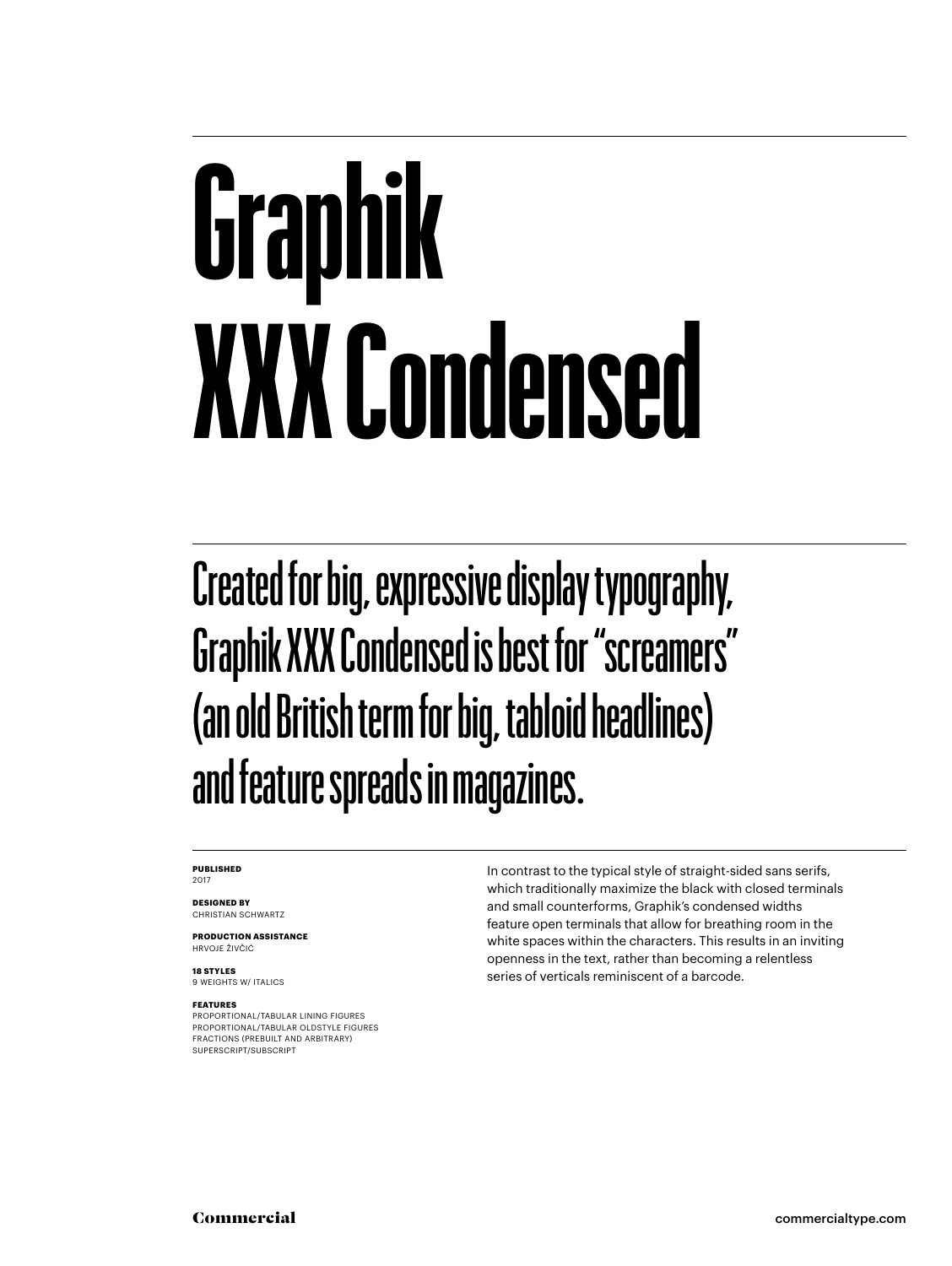## **Graphik XXX Condensed**

Created for big, expressive display typography, Graphik XXX Condensed is best for "screamers" (an old British term for big, tabloid headlines) and feature spreads in magazines.

#### **PUBLISHED** 2017

**DESIGNED BY** CHRISTIAN SCHWARTZ

**PRODUCTION ASSISTANCE** HRVOJE ŽIVČIĆ

**18 STYLES** 9 WEIGHTS W/ ITALICS

#### **FEATURES**

PROPORTIONAL/TABULAR LINING FIGURES PROPORTIONAL/TABULAR OLDSTYLE FIGURES FRACTIONS (PREBUILT AND ARBITRARY) SUPERSCRIPT/SUBSCRIPT

In contrast to the typical style of straight-sided sans serifs, which traditionally maximize the black with closed terminals and small counterforms, Graphik's condensed widths feature open terminals that allow for breathing room in the white spaces within the characters. This results in an inviting openness in the text, rather than becoming a relentless series of verticals reminiscent of a barcode.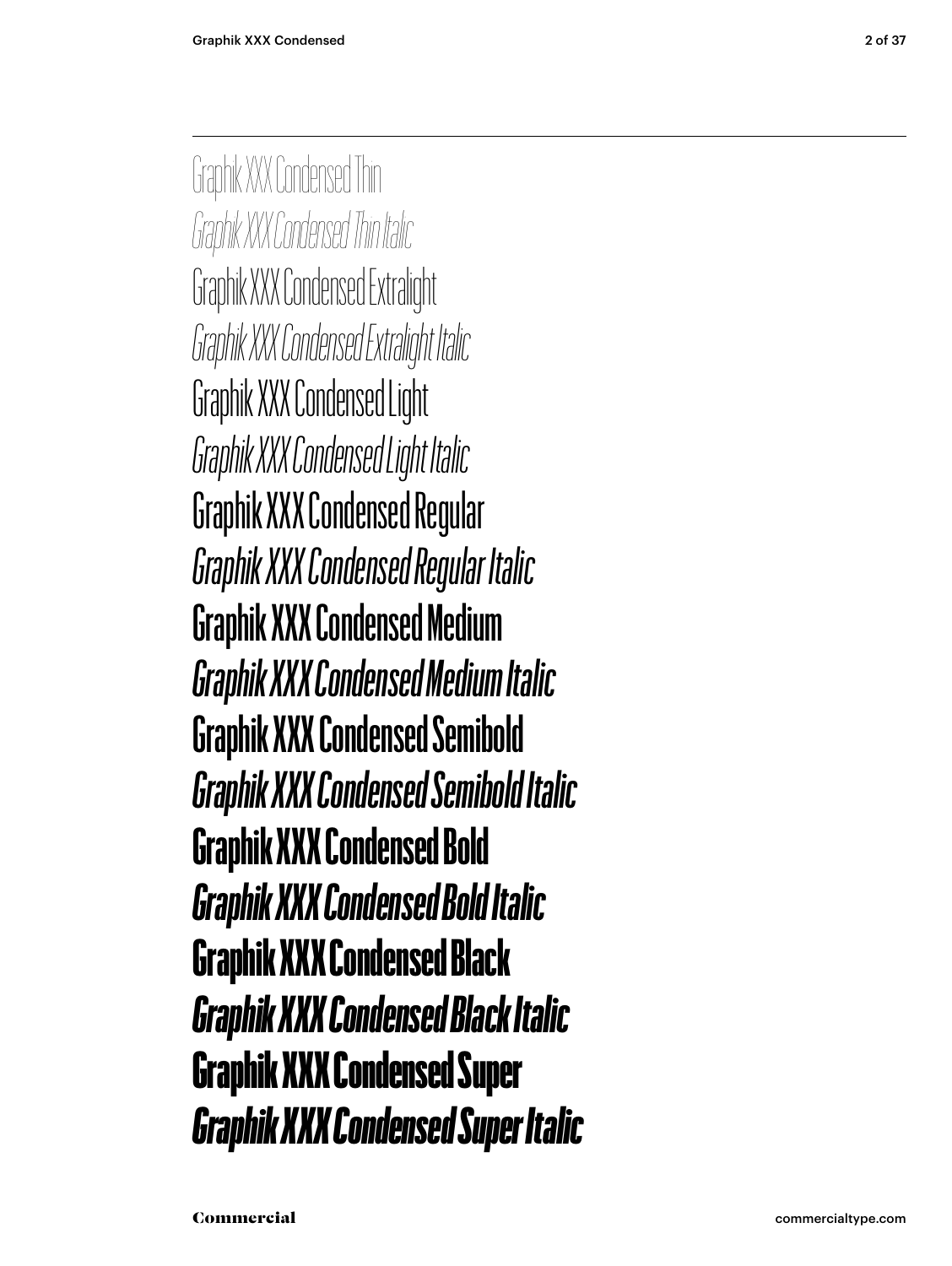Graphik XXX Condensed Thin *Graphik XXX Condensed Thin Italic* Graphik XXX Condensed Extralight *Graphik XXX Condensed Extralight Italic* Graphik XXX Condensed Light *Graphik XXX Condensed Light Italic* Graphik XXX Condensed Regular *Graphik XXX Condensed Regular Italic* Graphik XXX Condensed Medium *Graphik XXX Condensed Medium Italic* **Graphik XXX Condensed Semibold** *Graphik XXX Condensed Semibold Italic* **Graphik XXX Condensed Bold** *Graphik XXX Condensed Bold Italic* Graphik XXX Condensed Black *Graphik XXX Condensed Black Italic* Graphik XXX Condensed Super *Graphik XXX Condensed Super Italic*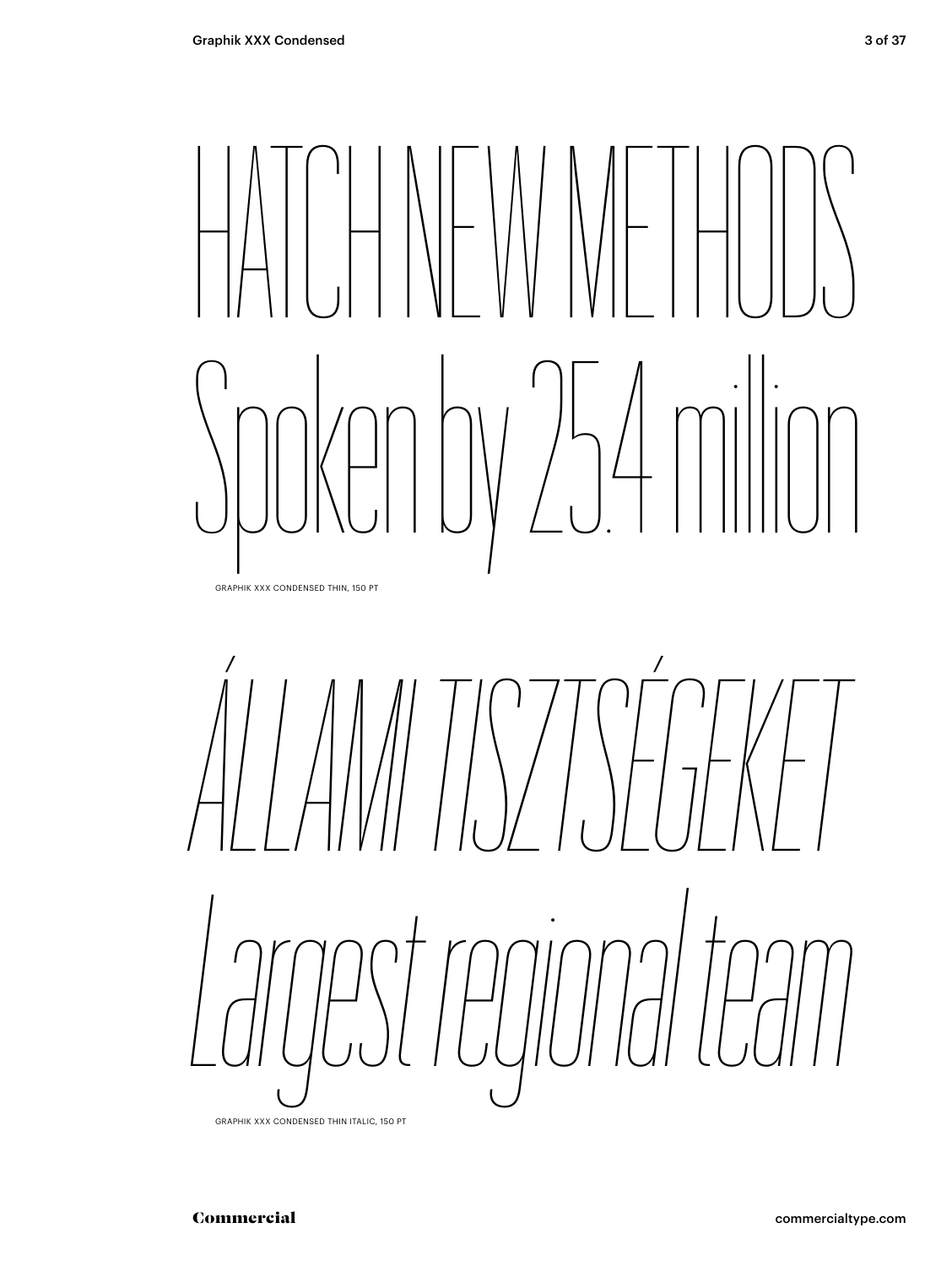# HATCH NEW METHODS Spoken by 25.4 milion

GRAPHIK XXX CONDENSED THIN, 150 PT



GRAPHIK XXX CONDENSED THIN ITALIC, 150 PT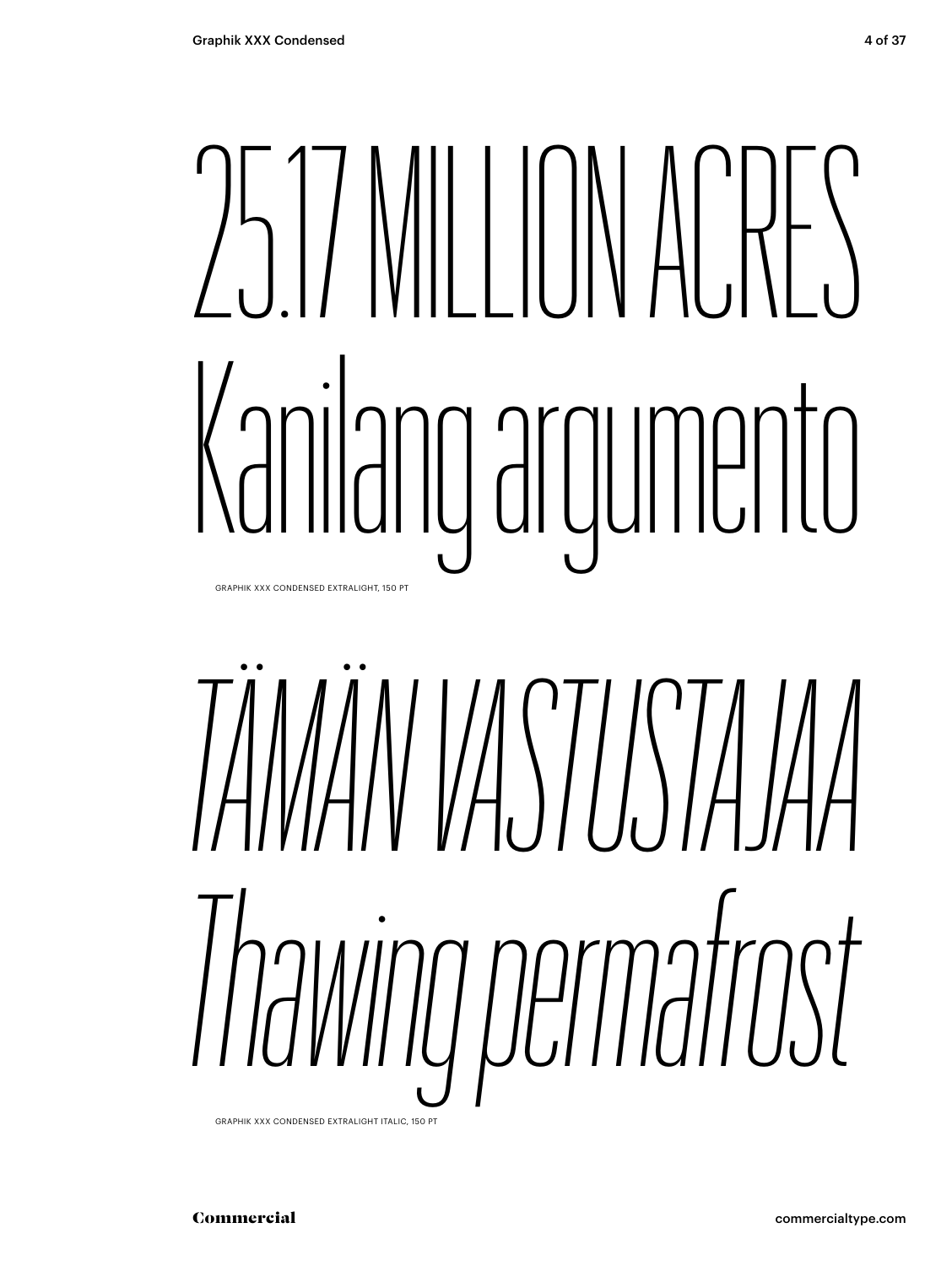### 25.17 MILLION ACRES Kanilang argumento GRAPHIK XXX CONDENSED EXTRALIGHT, 150 PT

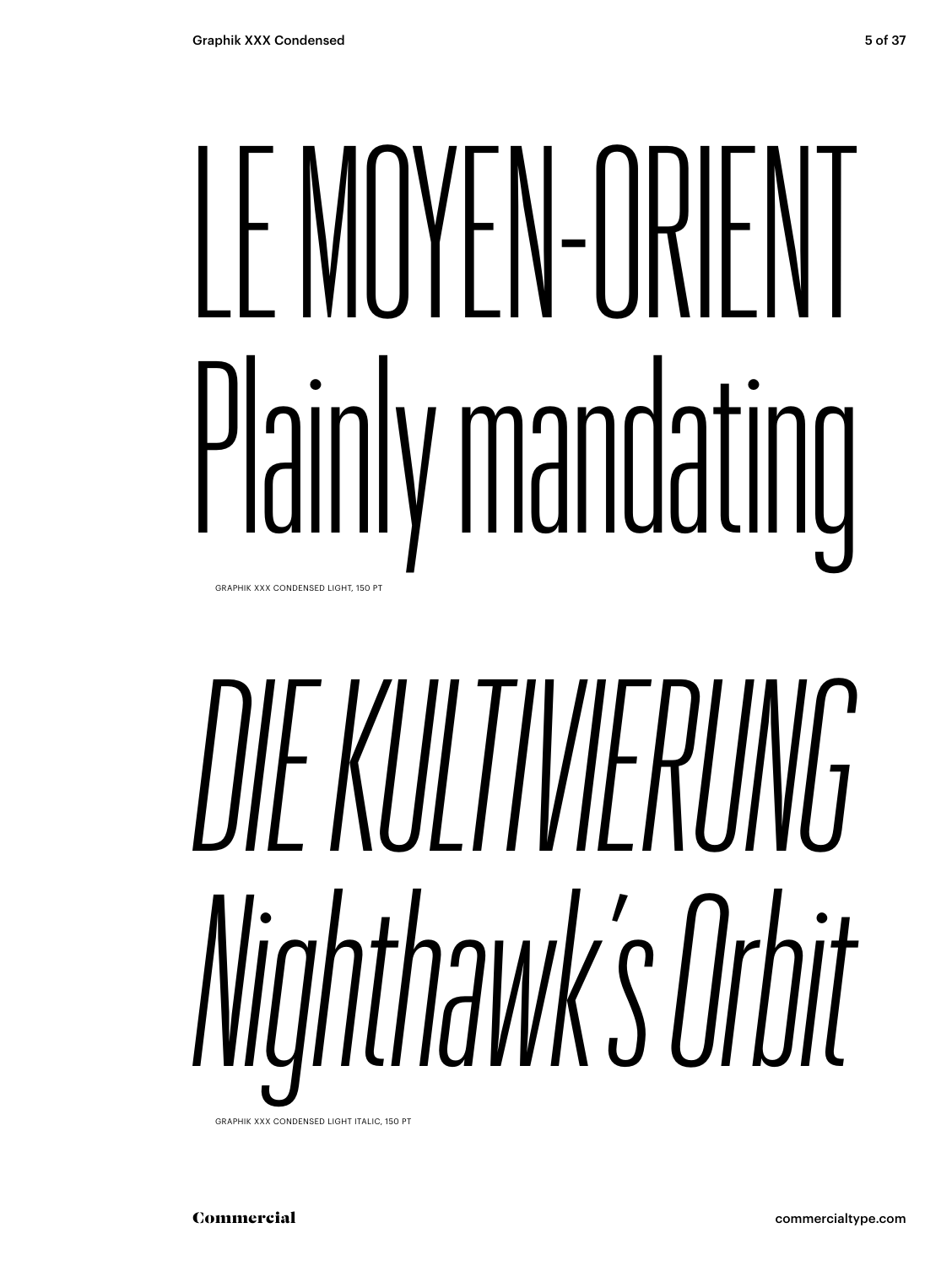### LE MOYEN-ORIENT Plainly mandating GRAPHIK XXX CONDENSED LIGHT, 150 PT

# *DIE KULTIVIERUNG Nighthawk's Orbit*

**GRAPHIK XXX CONDENSED LIGHT ITALIC, 150 PT** 

Commercial commercialtype.com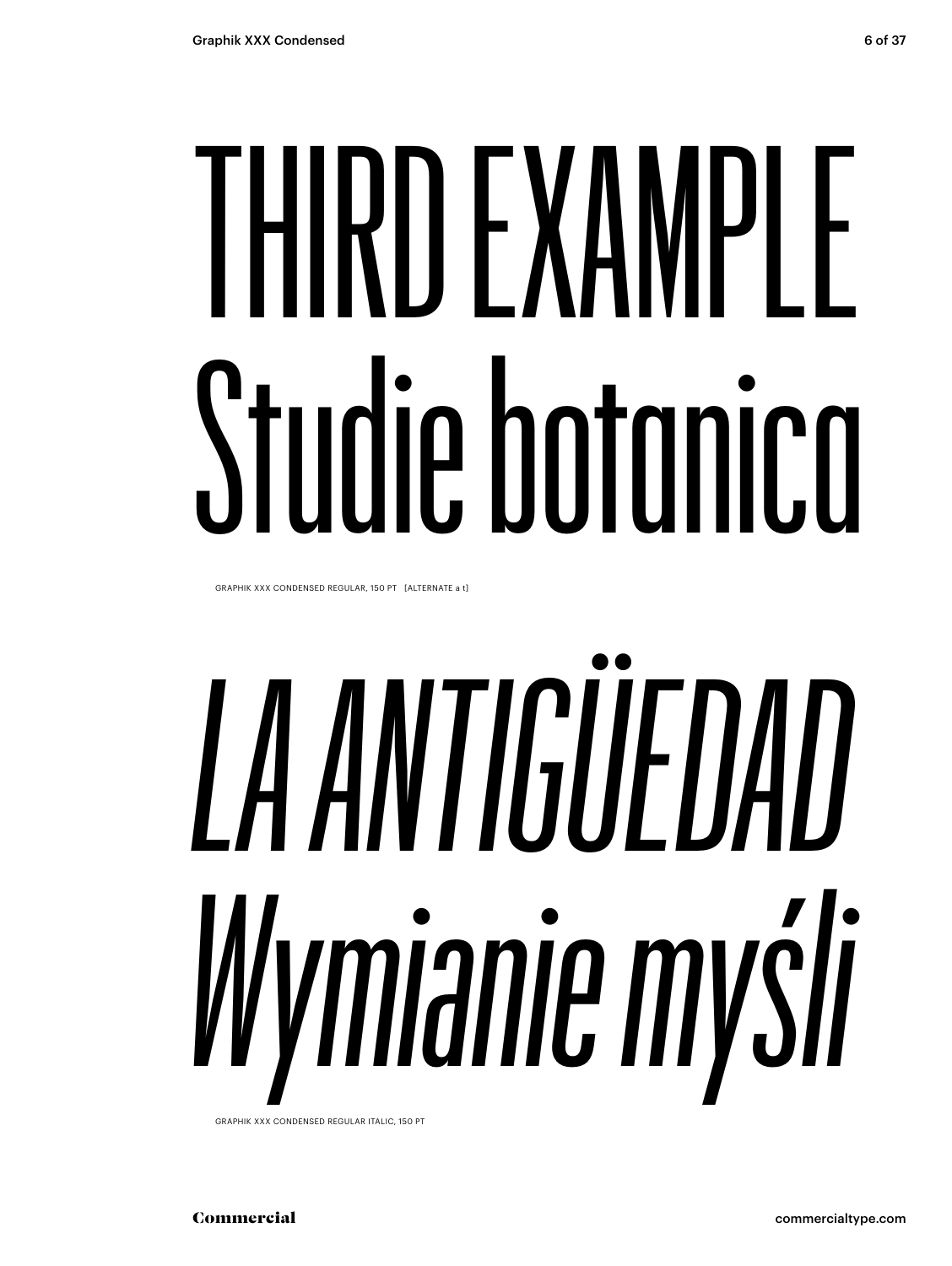# THIRD EXAMPLE Studie botanica

GRAPHIK XXX CONDENSED REGULAR, 150 PT [ALTERNATE a t]

# *LA ANTIGÜEDAD Wymianie myśli*

GRAPHIK XXX CONDENSED REGULAR ITALIC, 150 PT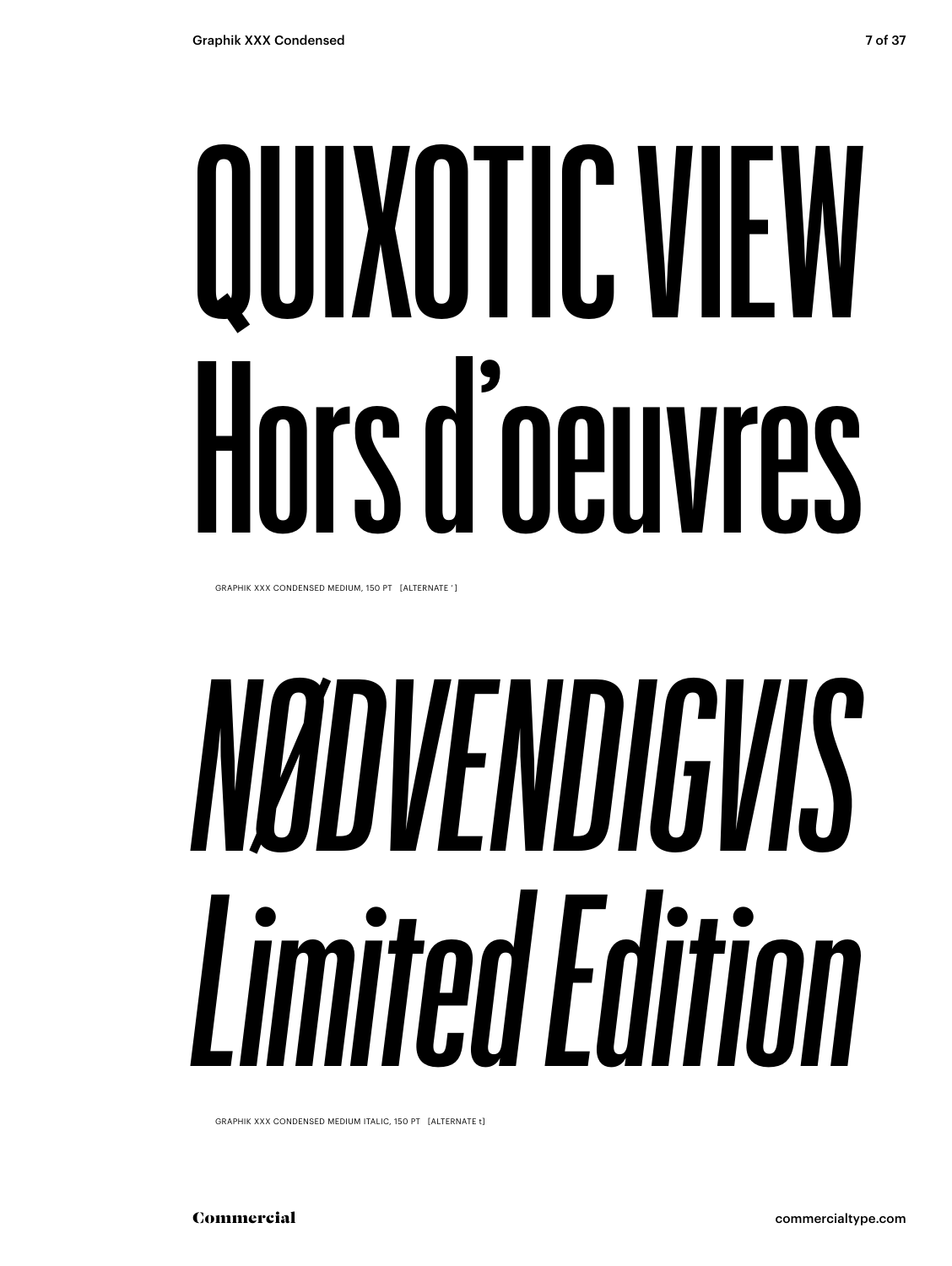# QUIXOTIC VIEW Hors d'oeuvres

GRAPHIK XXX CONDENSED MEDIUM, 150 PT [ALTERNATE ' ]

## *NØDVENDIGVIS Limited Edition*

GRAPHIK XXX CONDENSED MEDIUM ITALIC, 150 PT [ALTERNATE t]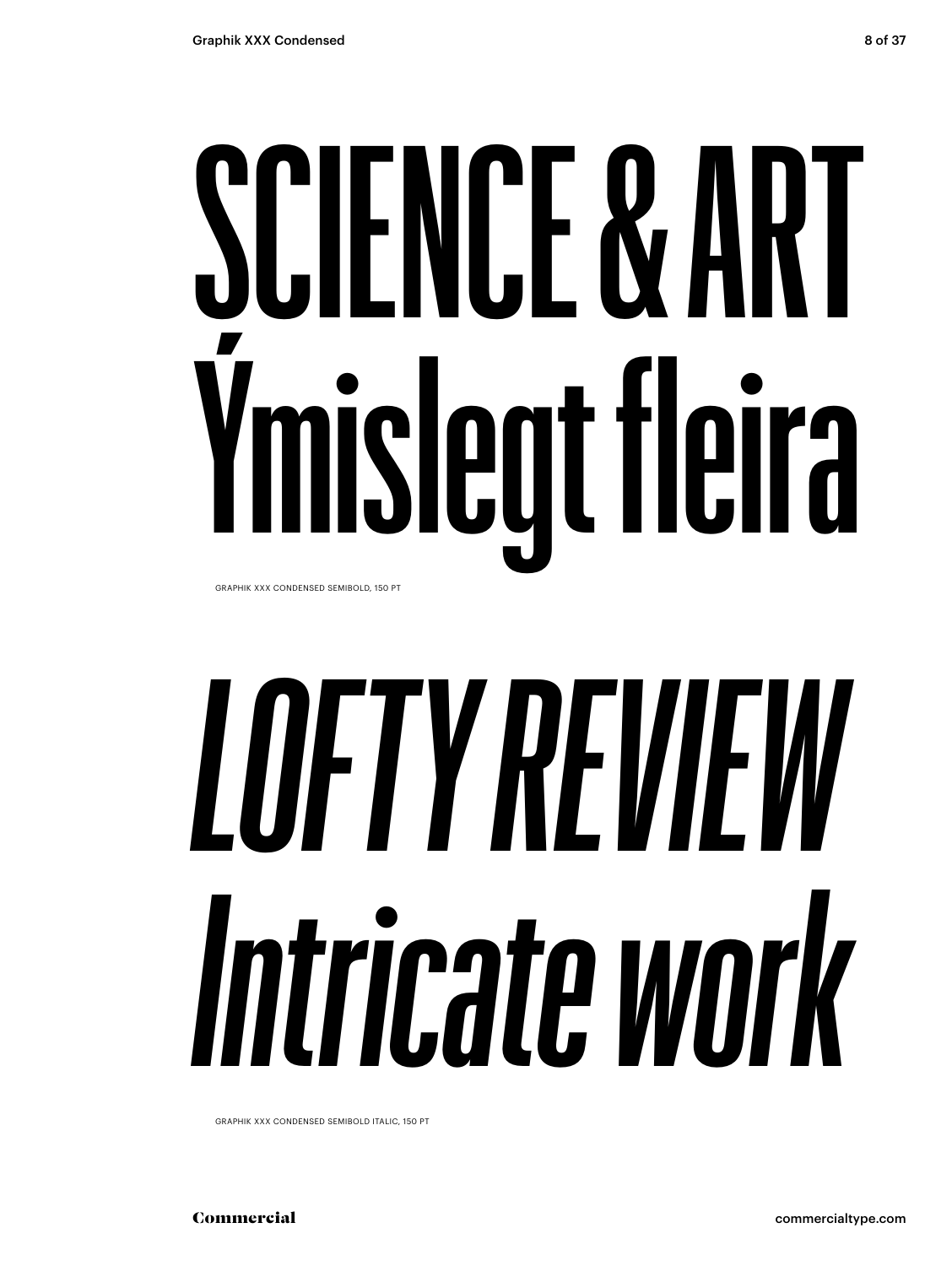### **SCIENCE & ART Ýmislegt fleira** GRAPHIK XXX CONDENSED SEMIBOLD, 150 PT

# *LOFTY REVIEW Intricate work*

GRAPHIK XXX CONDENSED SEMIBOLD ITALIC, 150 PT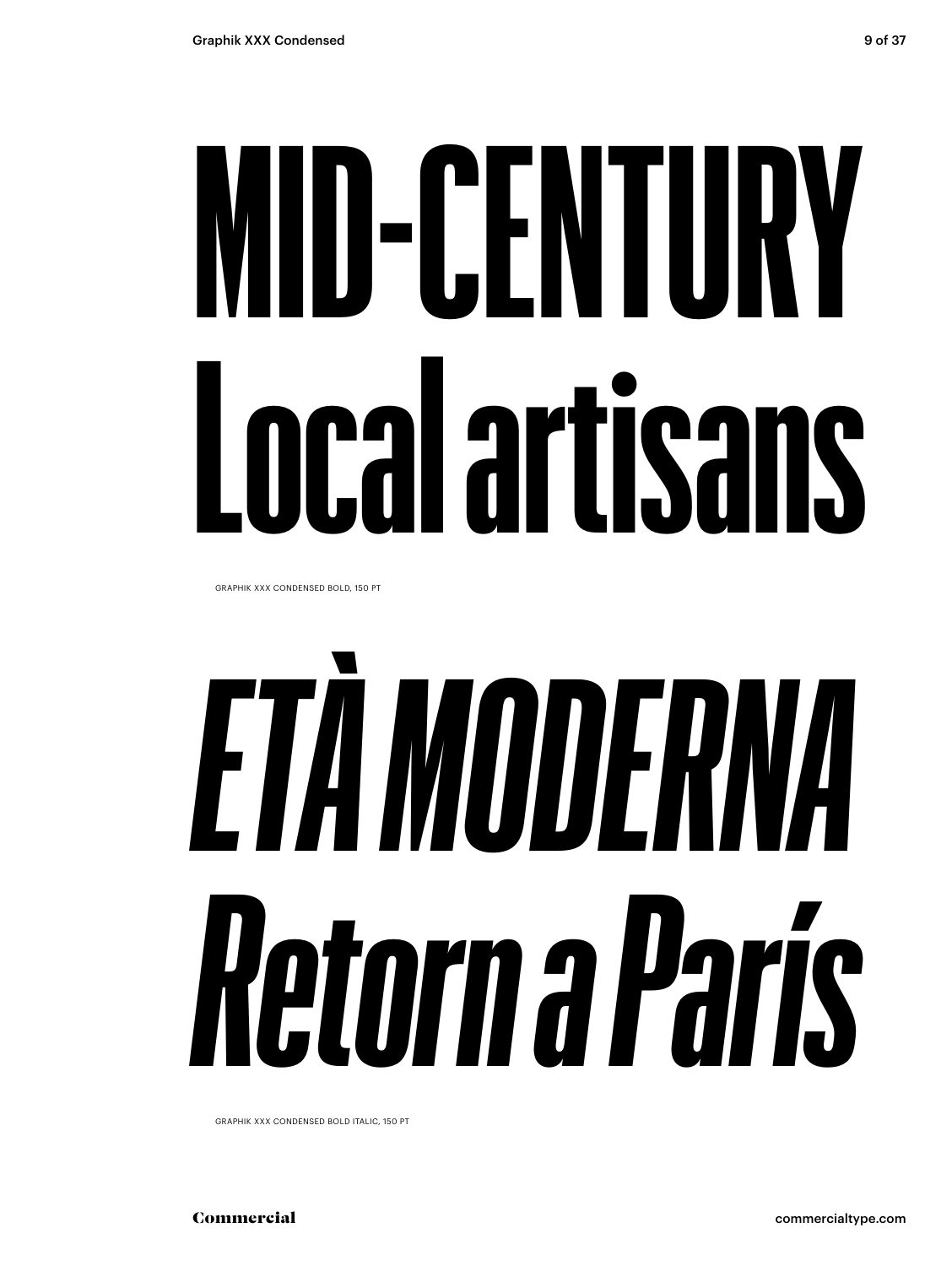## **MID-CENTURY Local artisans**

GRAPHIK XXX CONDENSED BOLD, 150 PT

# *ETÀ MODERNA Retorn a París*

GRAPHIK XXX CONDENSED BOLD ITALIC, 150 PT

Commercial commercialtype.com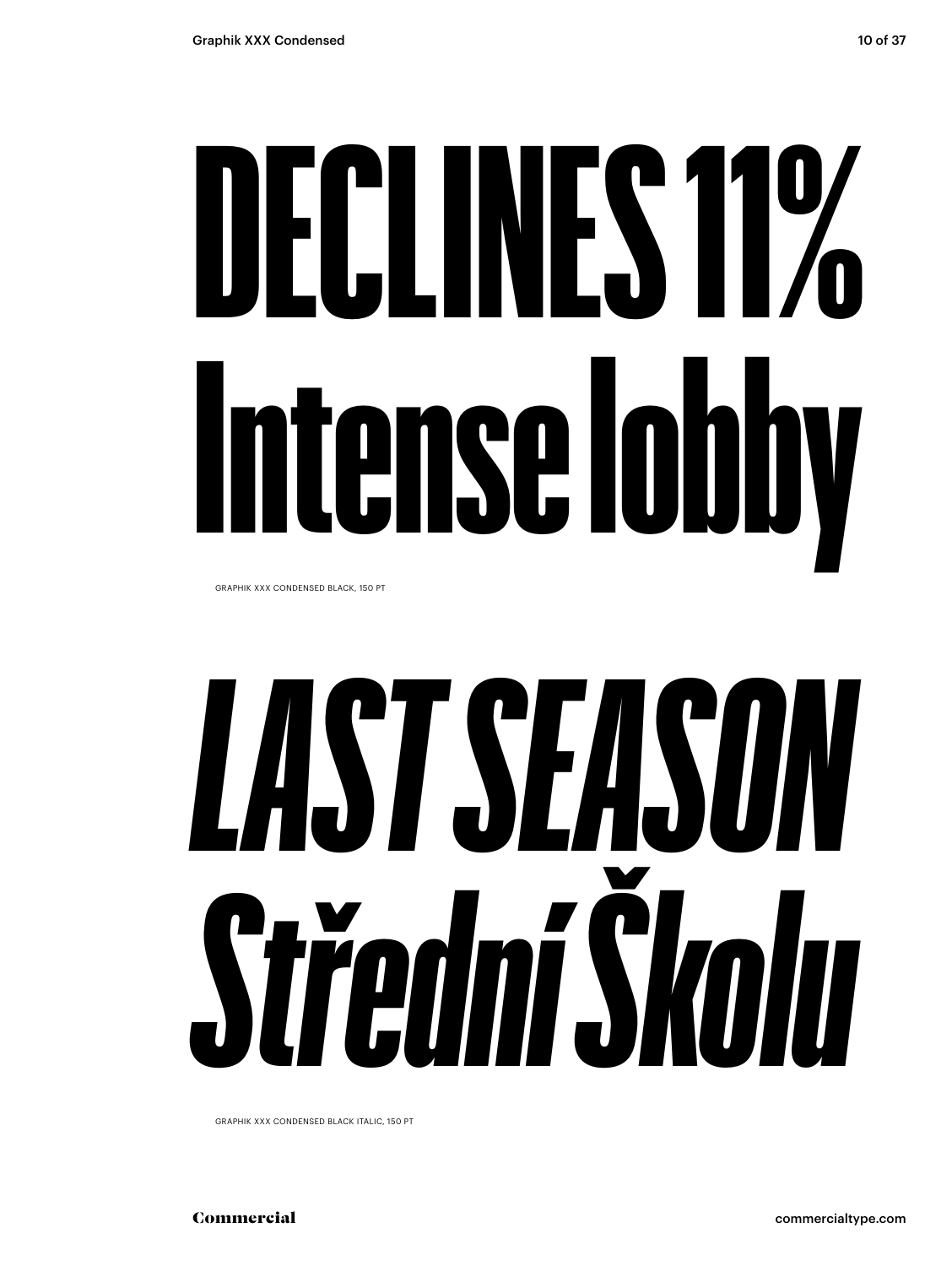# DECLINES 11% Intense lobby

GRAPHIK XXX CONDENSED BLACK, 150 PT

## *LAST SEASON Střední Školu*

GRAPHIK XXX CONDENSED BLACK ITALIC, 150 PT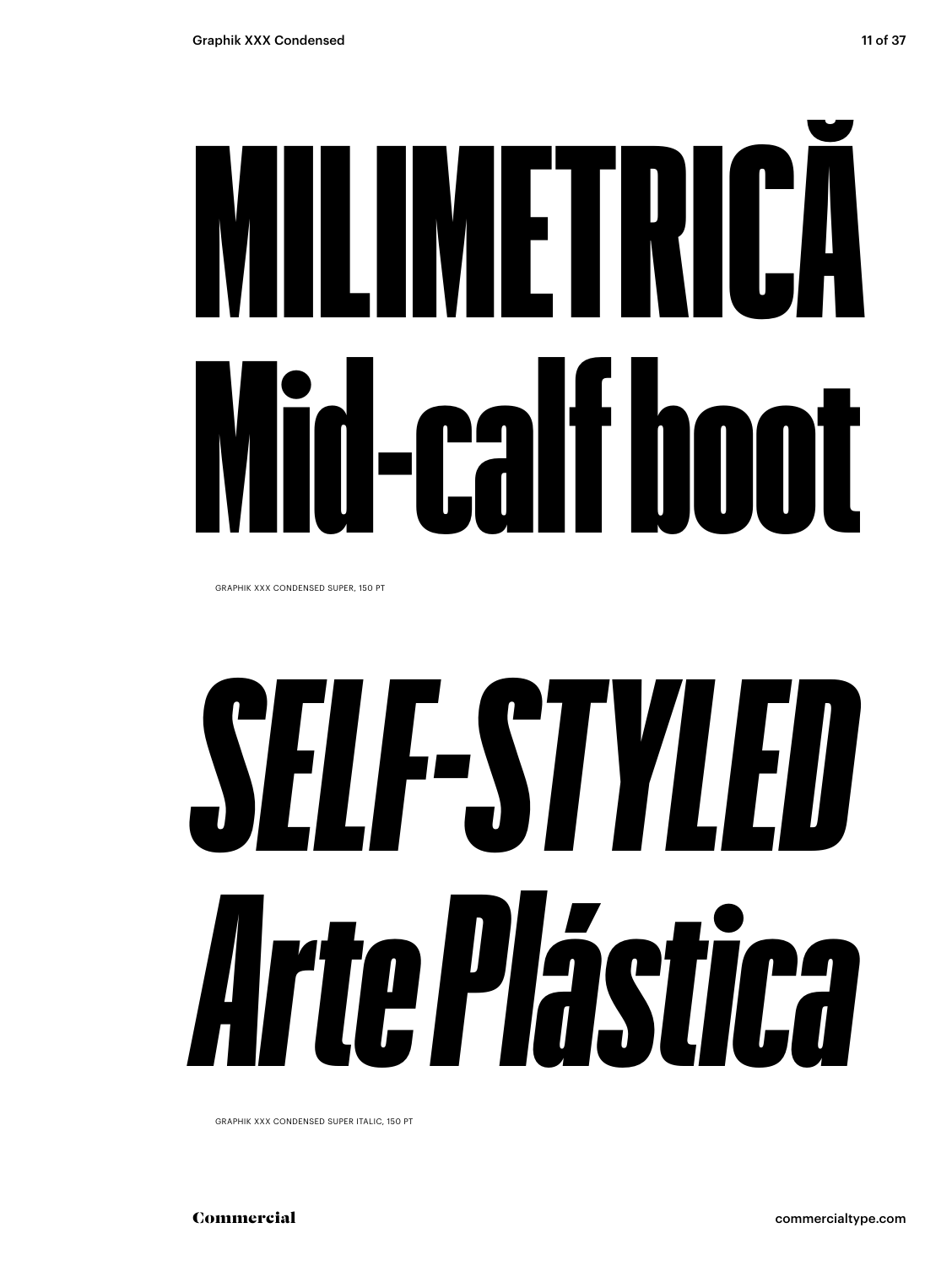# MILIMETRICĂ Mid-calf boot

GRAPHIK XXX CONDENSED SUPER, 150 PT

## *SELF-STYLED Arte Plástica*

GRAPHIK XXX CONDENSED SUPER ITALIC, 150 PT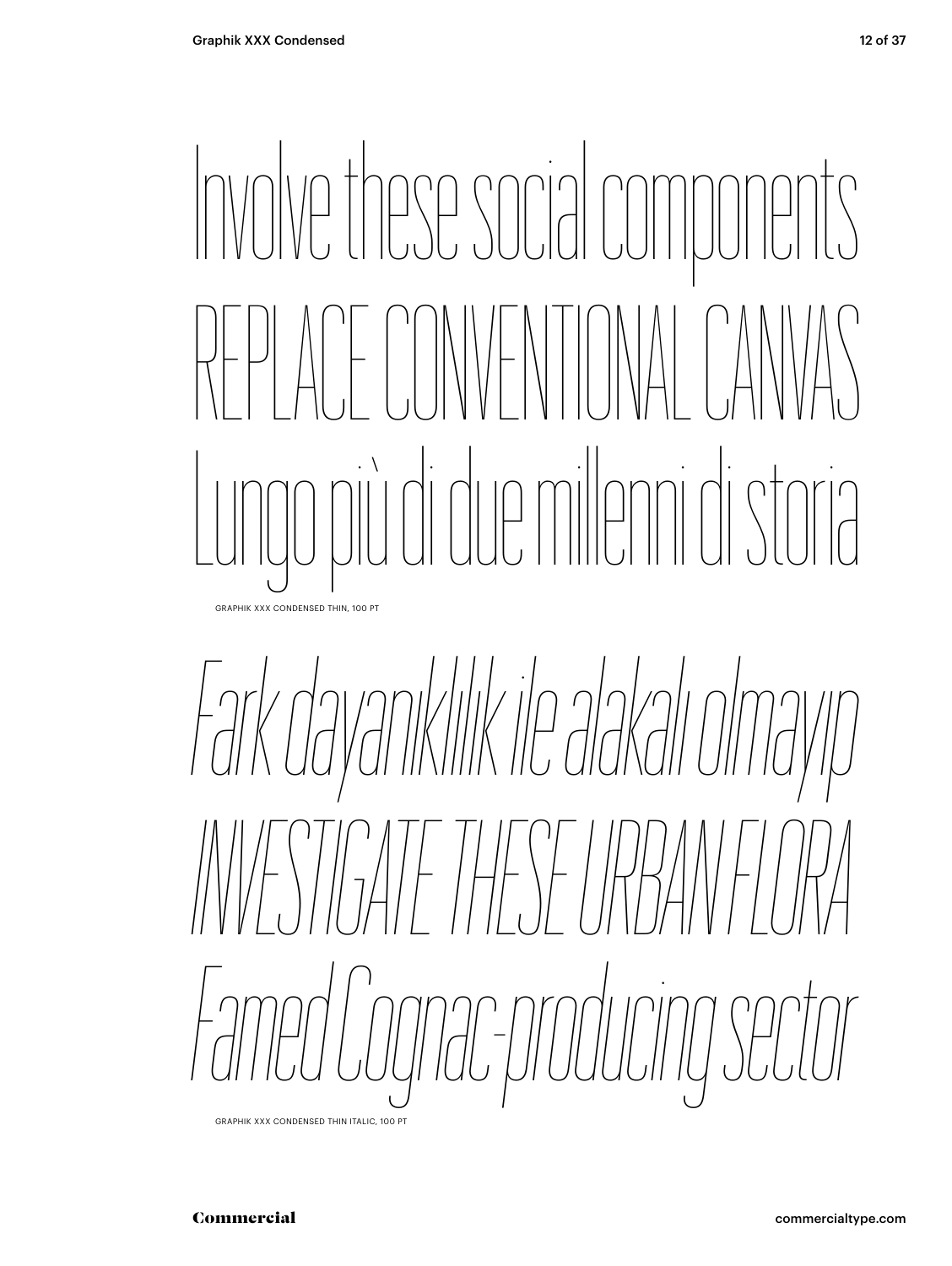### Involve these social components REPLACE CONVENTIONAL CANVAS Lungo più di due milenni di storia GRAPHIK XXX CONDENSED THIN, 100 PT

*Fark dayanıklılık ile alakalı olmayıp INVESTIGATE THESE URBAN FLORA Famed Cognac-producing sector*

GRAPHIK XXX CONDENSED THIN ITALIC, 100 PT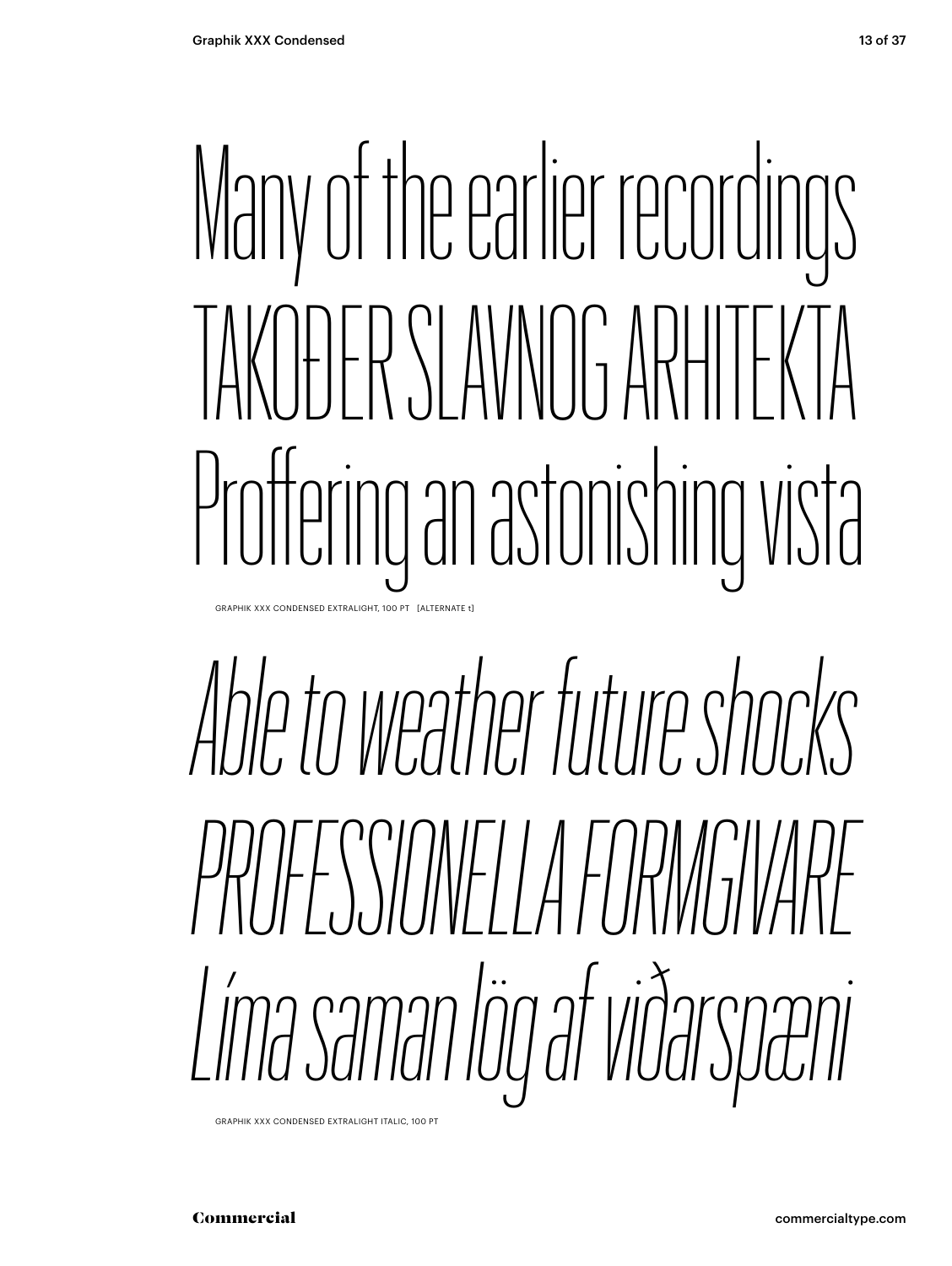### Many of the earlier recordings TAKOĐER SLAVNOG ARHITEKTA Proffering an astonishing vista GRAPHIK XXX CONDENSED EXTRALIGHT, 100 PT [ALTERNATE t]

## *Able to weather future shocks PROFESSIONELLA FORMGIVARE Líma saman lög af viðarspæni*

GRAPHIK XXX CONDENSED EXTRALIGHT ITALIC, 100 PT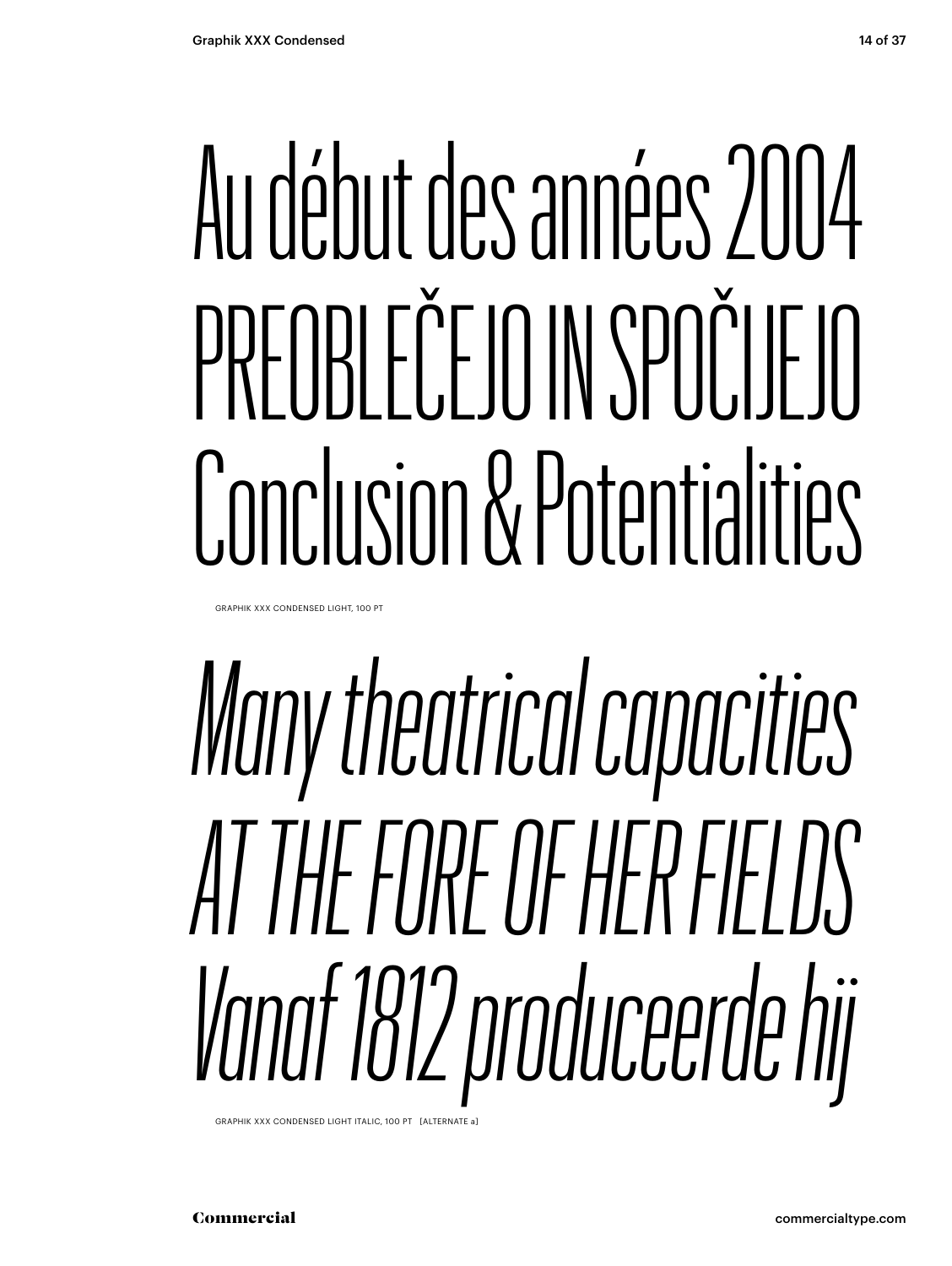### Au début des années 2004 PREOBLEČEJO IN SPOČIJEJO Conclusion & Potentialities

GRAPHIK XXX CONDENSED LIGHT, 100 PT

### *Many theatrical capacities AT THE FORE OF HER FIELDS Vanaf 1812 produceerde hij*

GRAPHIK XXX CONDENSED LIGHT ITALIC, 100 PT [ALTERNATE a]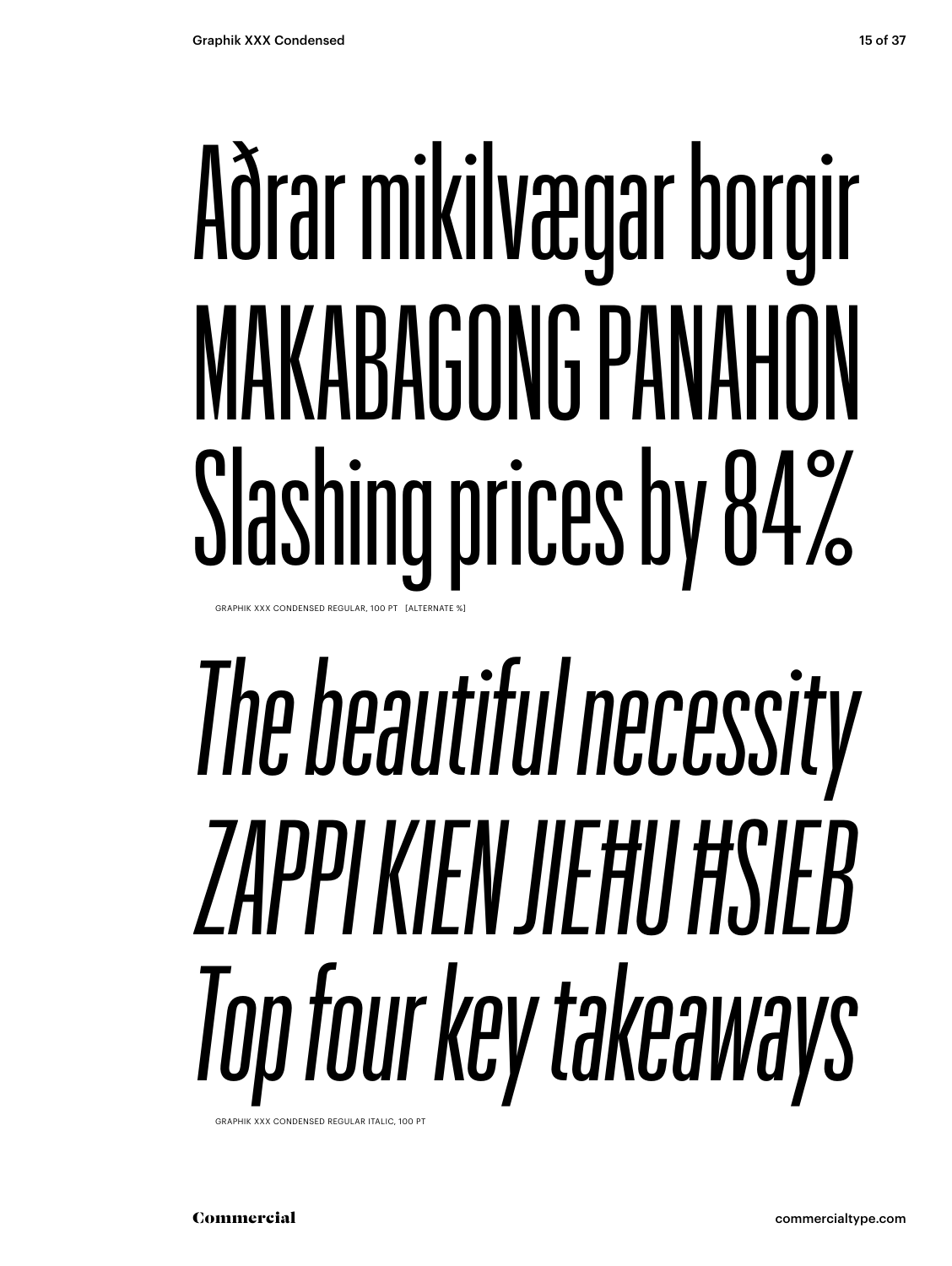### Aðrar mikilvægar borgir MAKABAGONG PANAHON Slashing prices by 84% GRAPHIK XXX CONDENSED REGULAR, 100 PT [ALTERNATE 9

## *The beautiful necessity ZAPPI KIEN JIEĦU ĦSIEB Top four key takeaways*

GRAPHIK XXX CONDENSED REGULAR ITALIC, 100 PT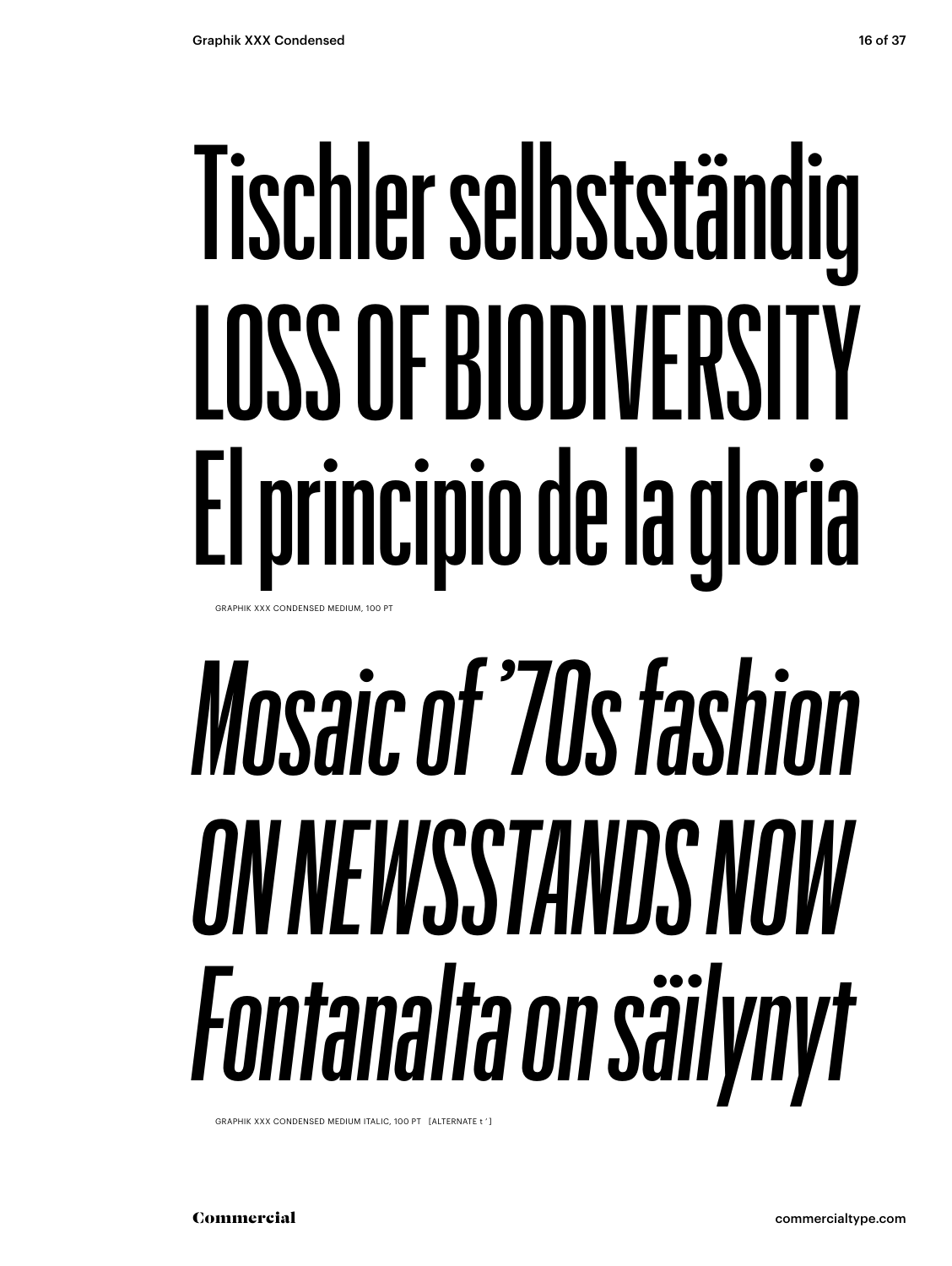### Tischler selbstständig LOSS OF BIODIVERSITY El principio de la gloria GRAPHIK XXX CONDENSED MEDIUM, 100 PT

## *Mosaic of '70s fashion ON NEWSSTANDS NOW Fontanalta on säilynyt*

GRAPHIK XXX CONDENSED MEDIUM ITALIC, 100 PT [ALTERNATE t ' ]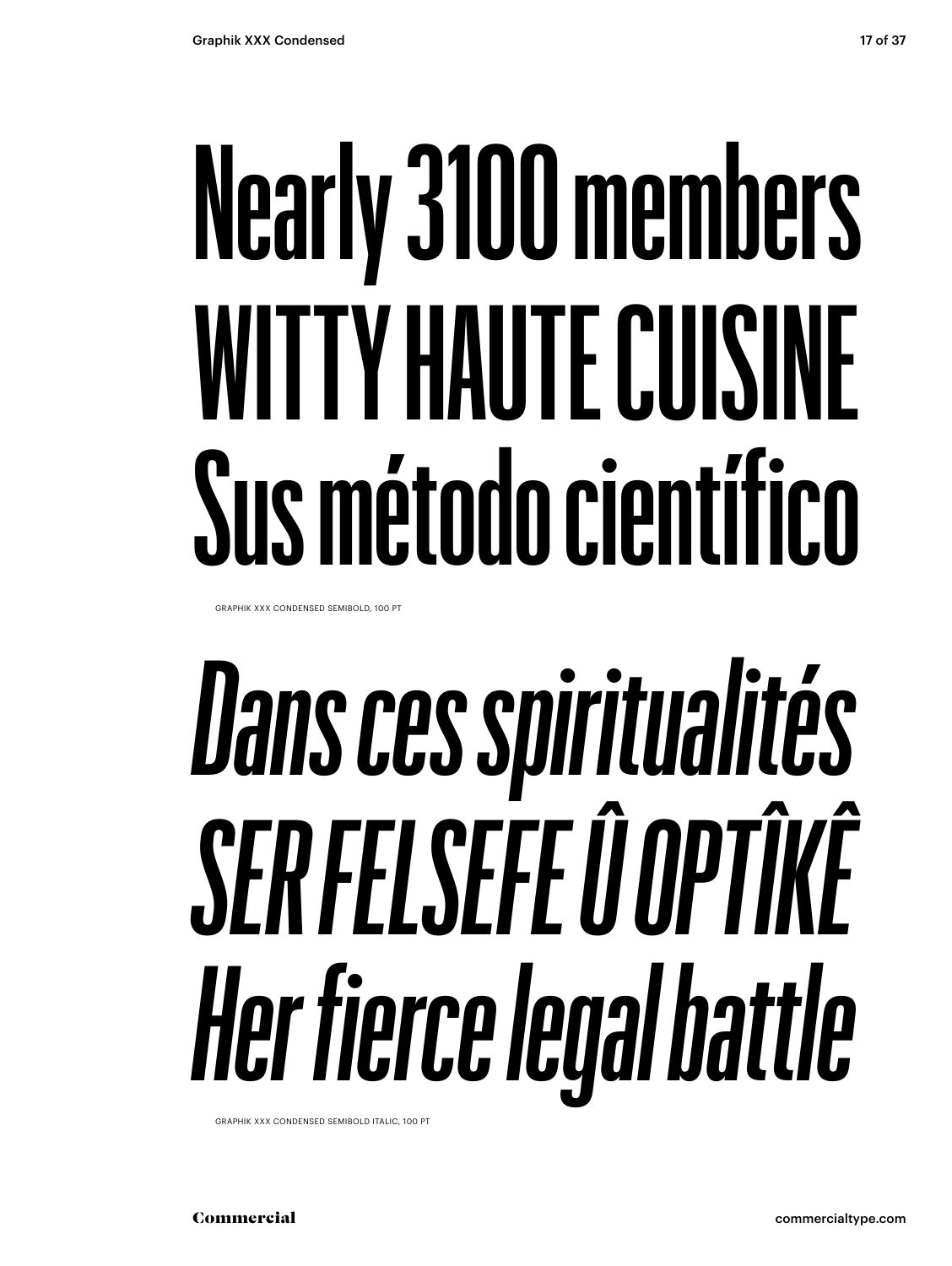### **Nearly 3100 members WITTY HAUTE CUISINE Sus método científico**

GRAPHIK XXX CONDENSED SEMIBOLD, 100 PT

## *Dans ces spiritualités SER FELSEFE Û OPTÎKÊ Her fierce legal battle*

GRAPHIK XXX CONDENSED SEMIBOLD ITALIC, 100 PT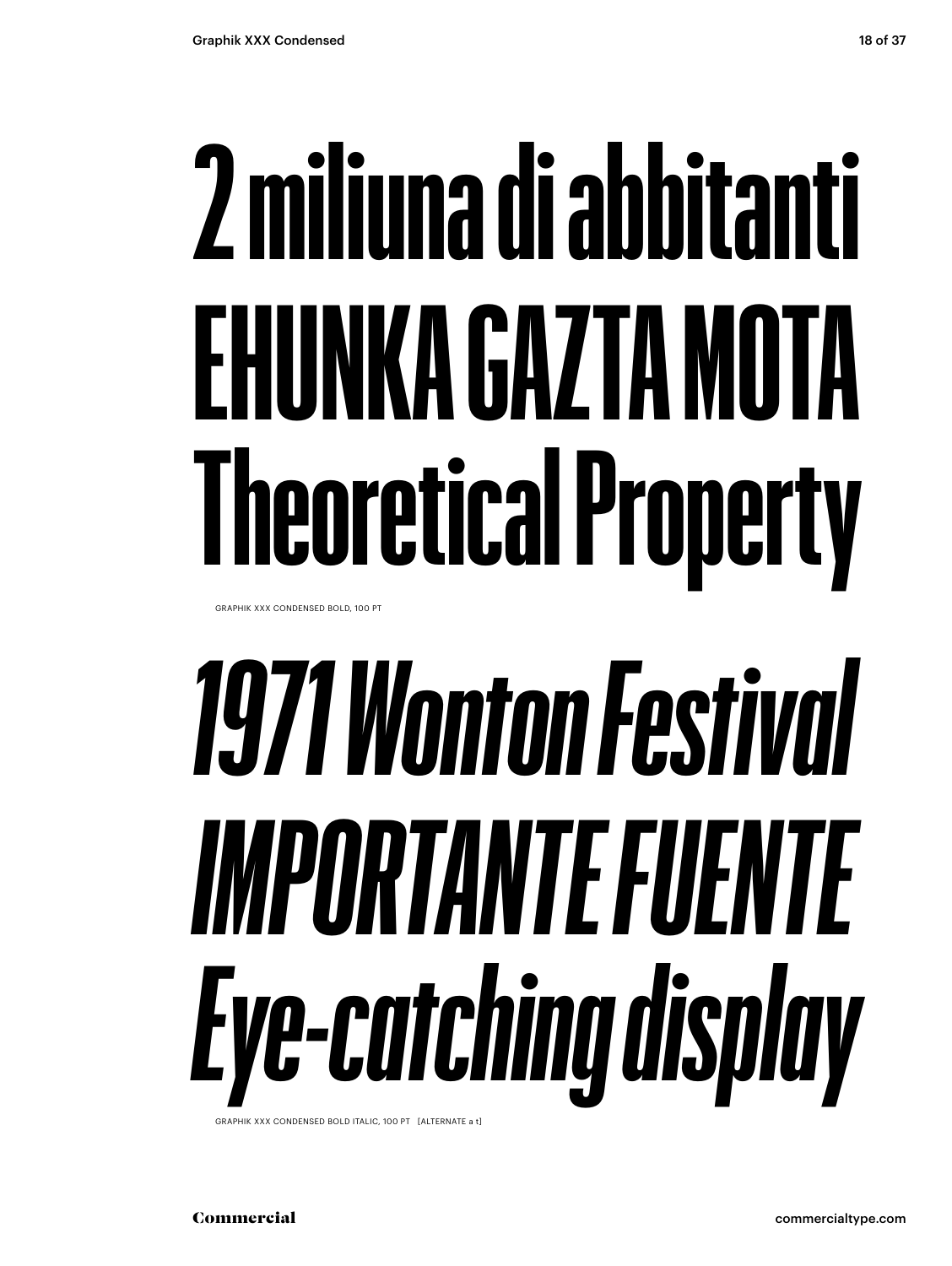## **2 miliuna di abbitanti EHUNKA GAZTA MOTA Theoretical Property**

GRAPHIK XXX CONDENSED BOLD, 100 PT

## *1971 Wonton Festival IMPORTANTE FUENTE Eye-catching display*

GRAPHIK XXX CONDENSED BOLD ITALIC, 100 PT [ALTERNATE a t]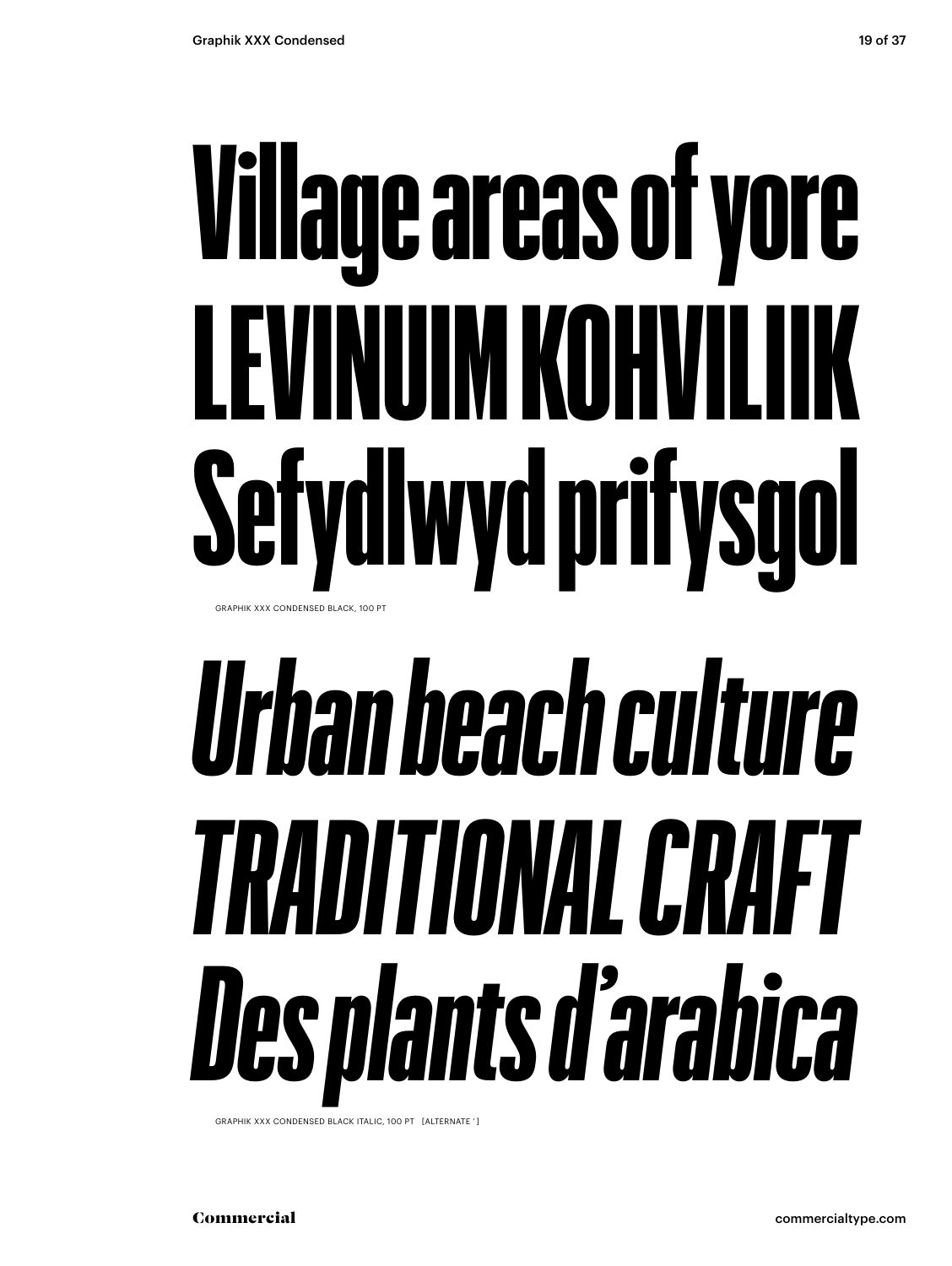### Village areas of yore LEVINUIM KOHVILIIK Sefydlwyd prifysgol GRAPHIK XXX CONDENSED BLACK, 100 PT

## *Urban beach culture TRADITIONAL CRAFT Des plants d'arabica*

GRAPHIK XXX CONDENSED BLACK ITALIC, 100 PT [ALTERNATE ' ]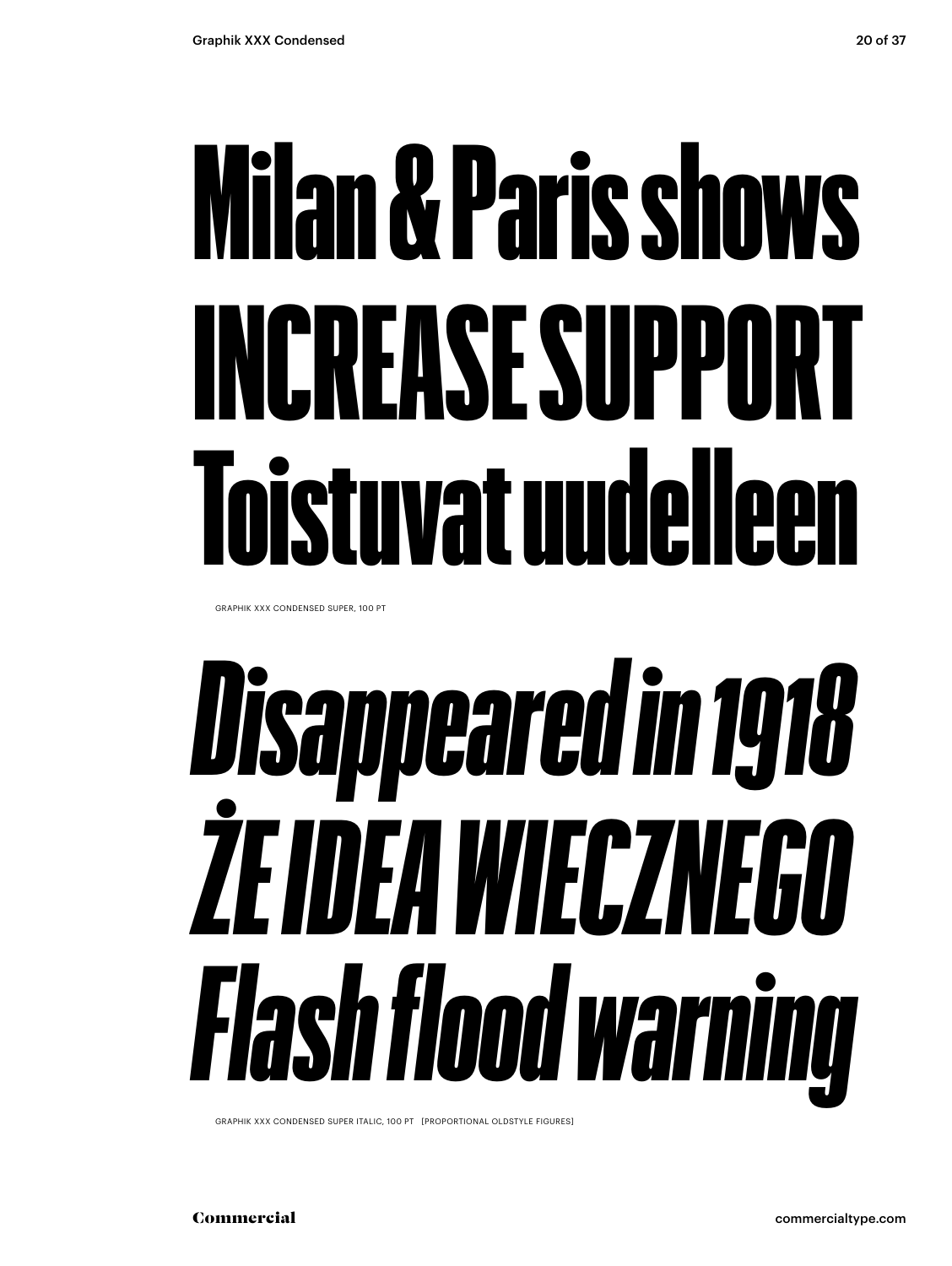### Milan & Paris shows INCREASE SUPPORT Toistuvat uudelleen

GRAPHIK XXX CONDENSED SUPER, 100 PT

## *Disappeared in 1918 ŻE IDEA WIECZNEGO Flash flood warning*

GRAPHIK XXX CONDENSED SUPER ITALIC, 100 PT [PROPORTIONAL OLDSTYLE FIGURES]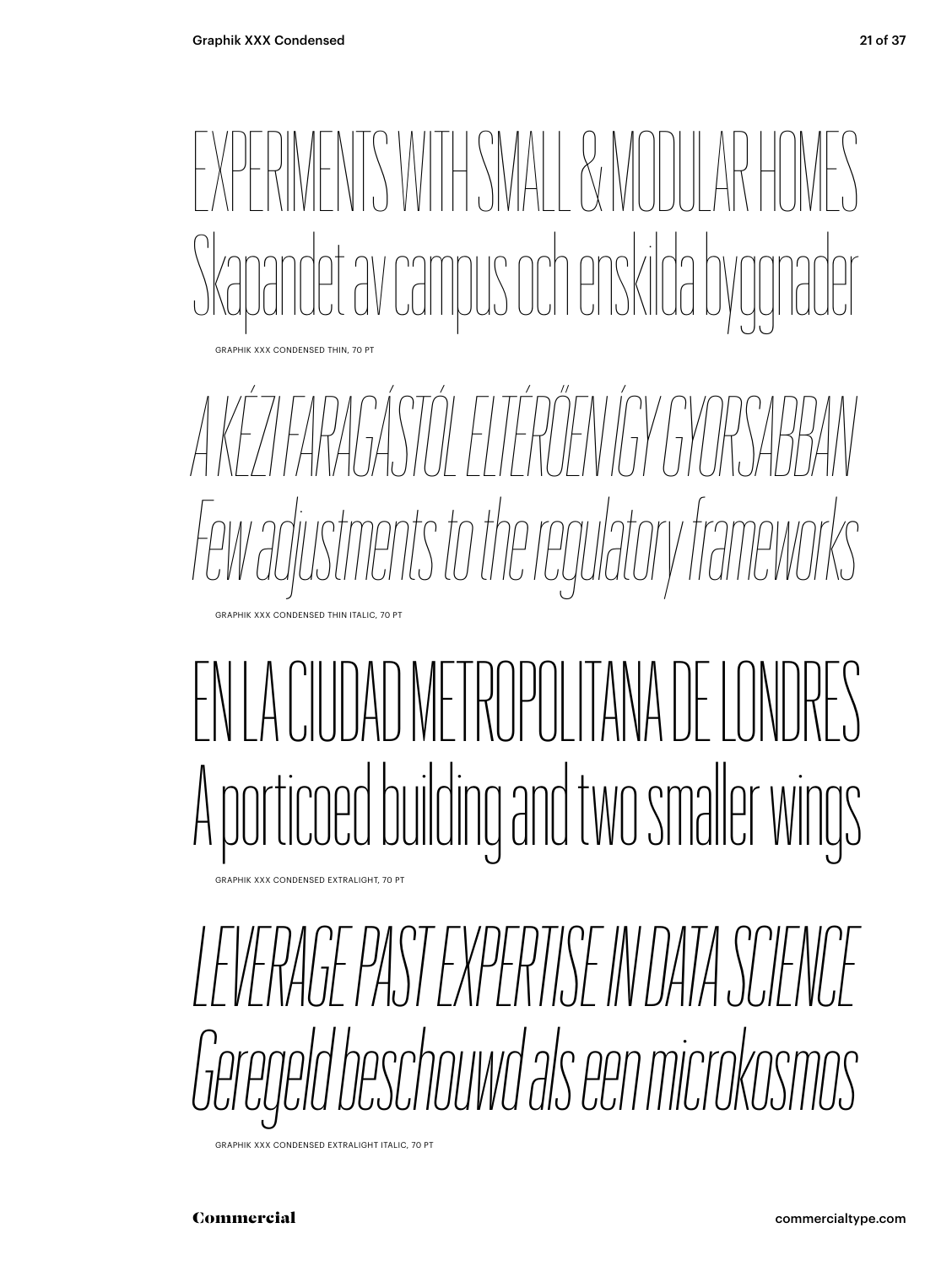

*A KÉZI FARAGÁSTÓL ELTÉRŐEN ÍGY GYORSABBAN Few adjustments to the regulatory frameworks*

### EN LA CIUDAD METROPOLITANA DE LONDRES A porticoed building and two smaler wings

GRAPHIK XXX CONDENSED EXTRALIGHT, 70 PT

GRAPHIK XXX CONDENSED THIN ITALIC, 70 PT

*LEVERAGE PAST EXPERTISE IN DATA SCIENCE Geregeld beschouwd als een microkosmos*

GRAPHIK XXX CONDENSED EXTRALIGHT ITALIC, 70 PT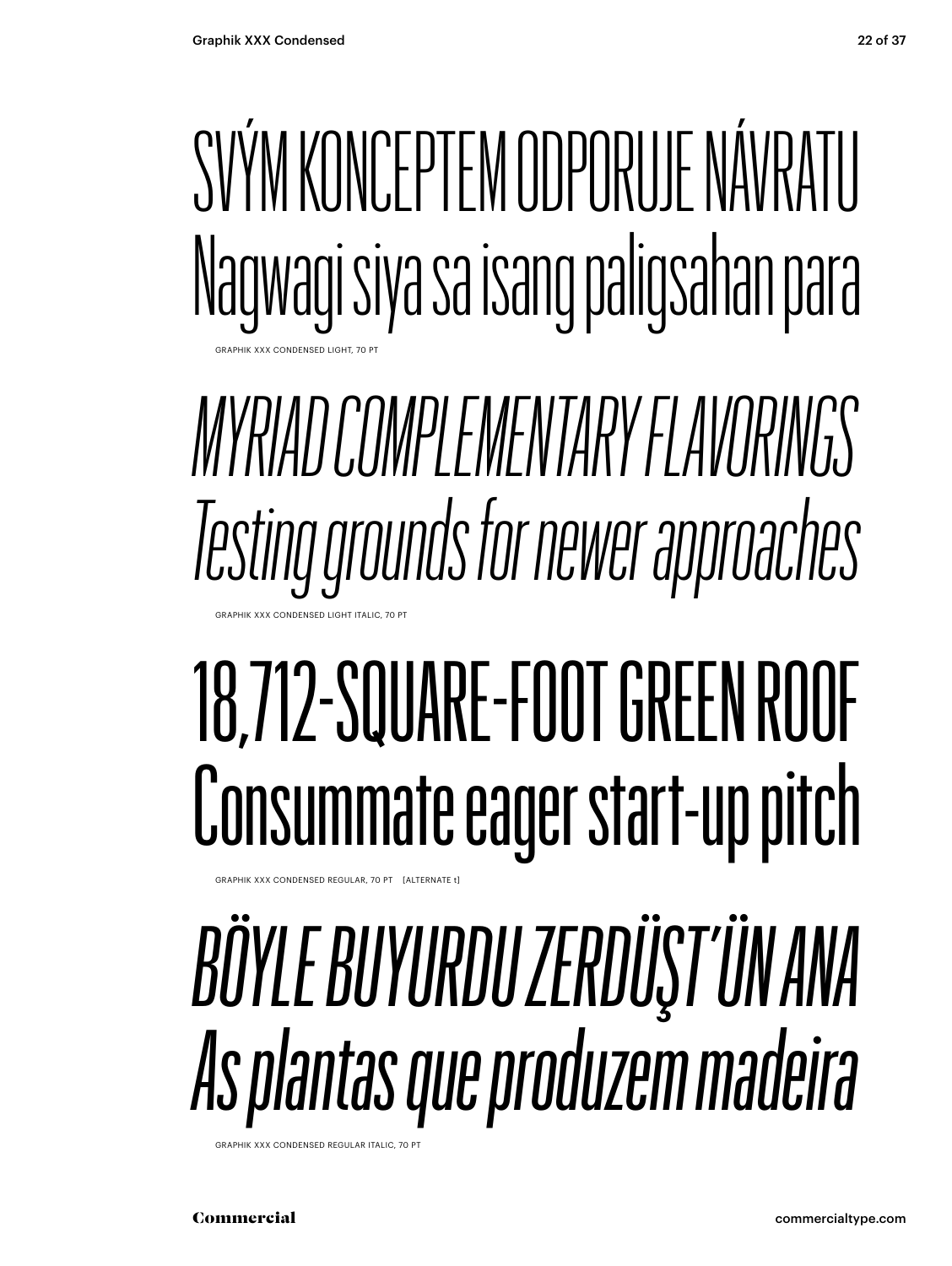

#### *MYRIAD COMPLEMENTARY FLAVORINGS Testing grounds for newer approaches* GRAPHIK XXX CONDENSED LIGHT ITALIC, 70

### 18,712-SQUARE-FOOT GREEN ROOF Consummate eager start-up pitch

APHIK XXX CONDENSED REGULAR, 70 PT [ALTERNATE t]

### *BÖYLE BUYURDU ZERDÜŞT'ÜN ANA As plantas que produzem madeira*

GRAPHIK XXX CONDENSED REGULAR ITALIC, 70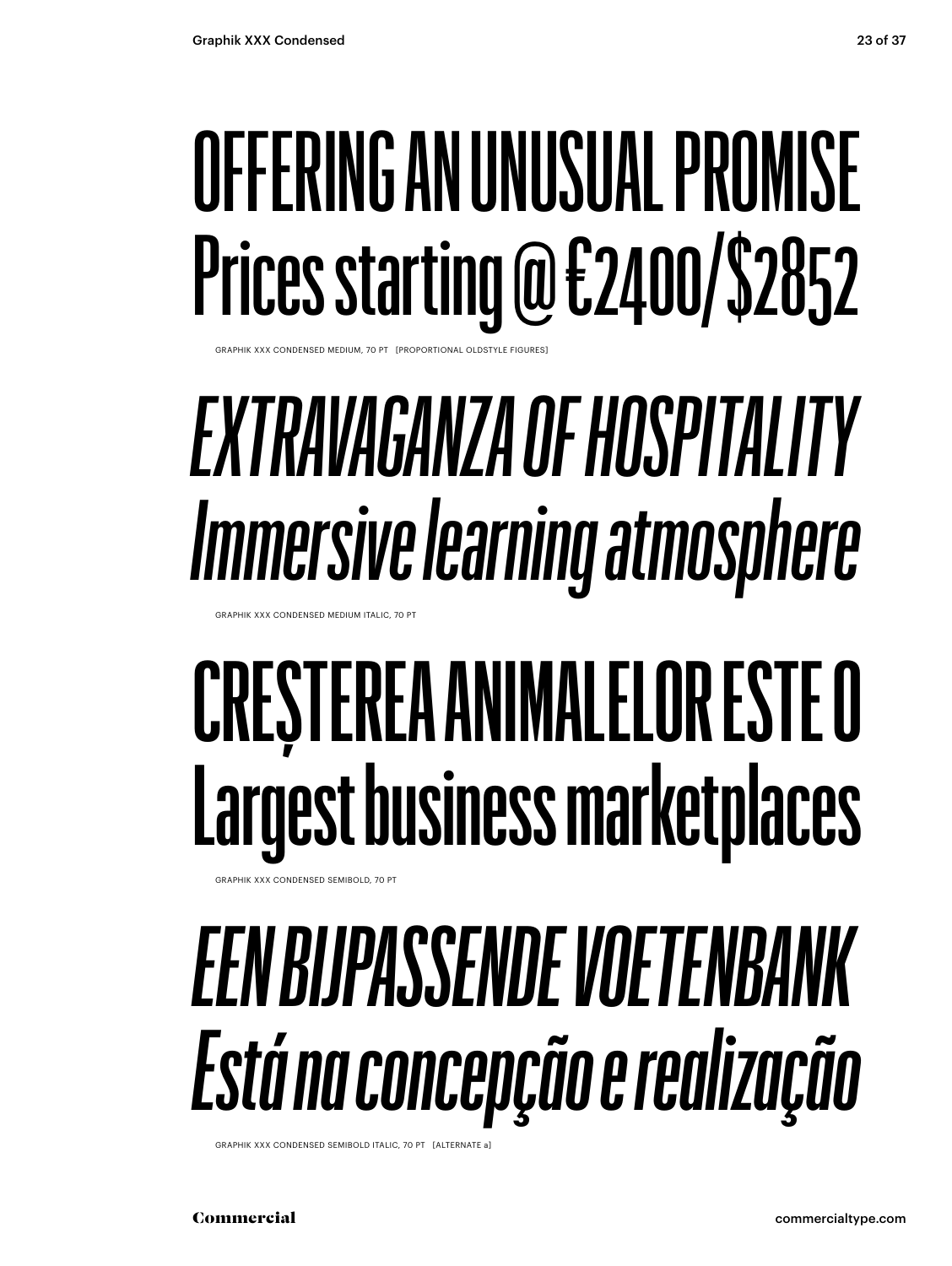### OFFERING AN UNUSUAL PROMISE Prices starting @ €2400/\$2852

GRAPHIK XXX CONDENSED MEDIUM, 70 PT [PROPORTIONAL OLDSTYLE FIGURES]

### *EXTRAVAGANZA OF HOSPITALITY Immersive learning atmosphere*

GRAPHIK XXX CONDENSED MEDIUM ITALIC, 70 PT

### **CREȘTEREA ANIMALELOR ESTE O Largest business marketplaces**

GRAPHIK XXX CONDENSED SEMIBOLD, 70 PT

### *EEN BIJPASSENDE VOETENBANK Está na concepção e realização*

GRAPHIK XXX CONDENSED SEMIBOLD ITALIC, 70 PT [ALTERNATE a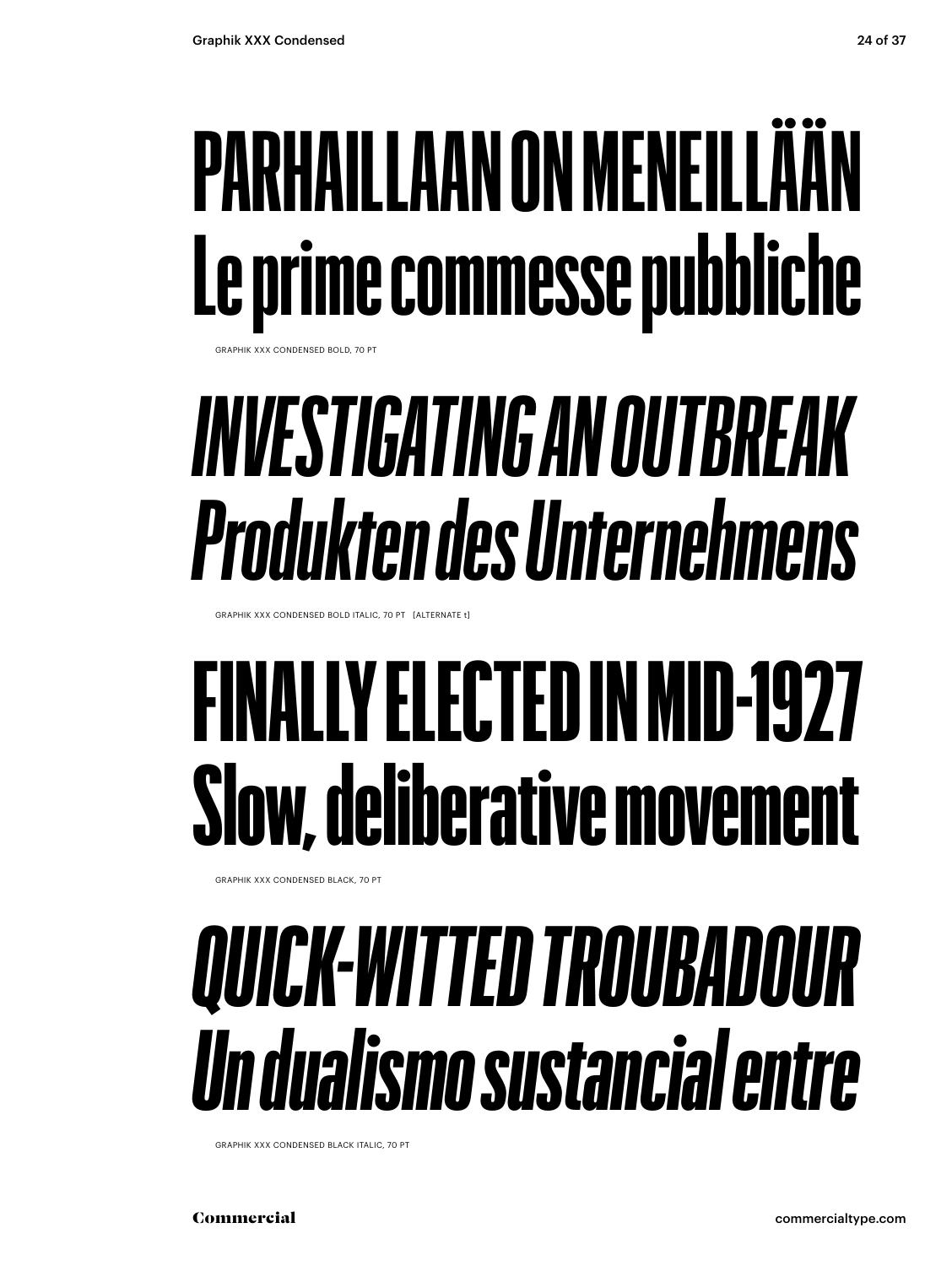### **PARHAILLAAN ON MENEILLÄÄN Le prime commesse pubbliche**

GRAPHIK XXX CONDENSED BOLD, 70 PT

### *INVESTIGATING AN OUTBREAK Produkten des Unternehmens*

GRAPHIK XXX CONDENSED BOLD ITALIC, 70 PT [ALTERNATE t]

### FINALLY ELECTED IN MID-1927 Slow, deliberative movement

GRAPHIK XXX CONDENSED BLACK, 70 PT

### *QUICK-WITTED TROUBADOUR Un dualismo sustancial entre*

GRAPHIK XXX CONDENSED BLACK ITALIC, 70 PT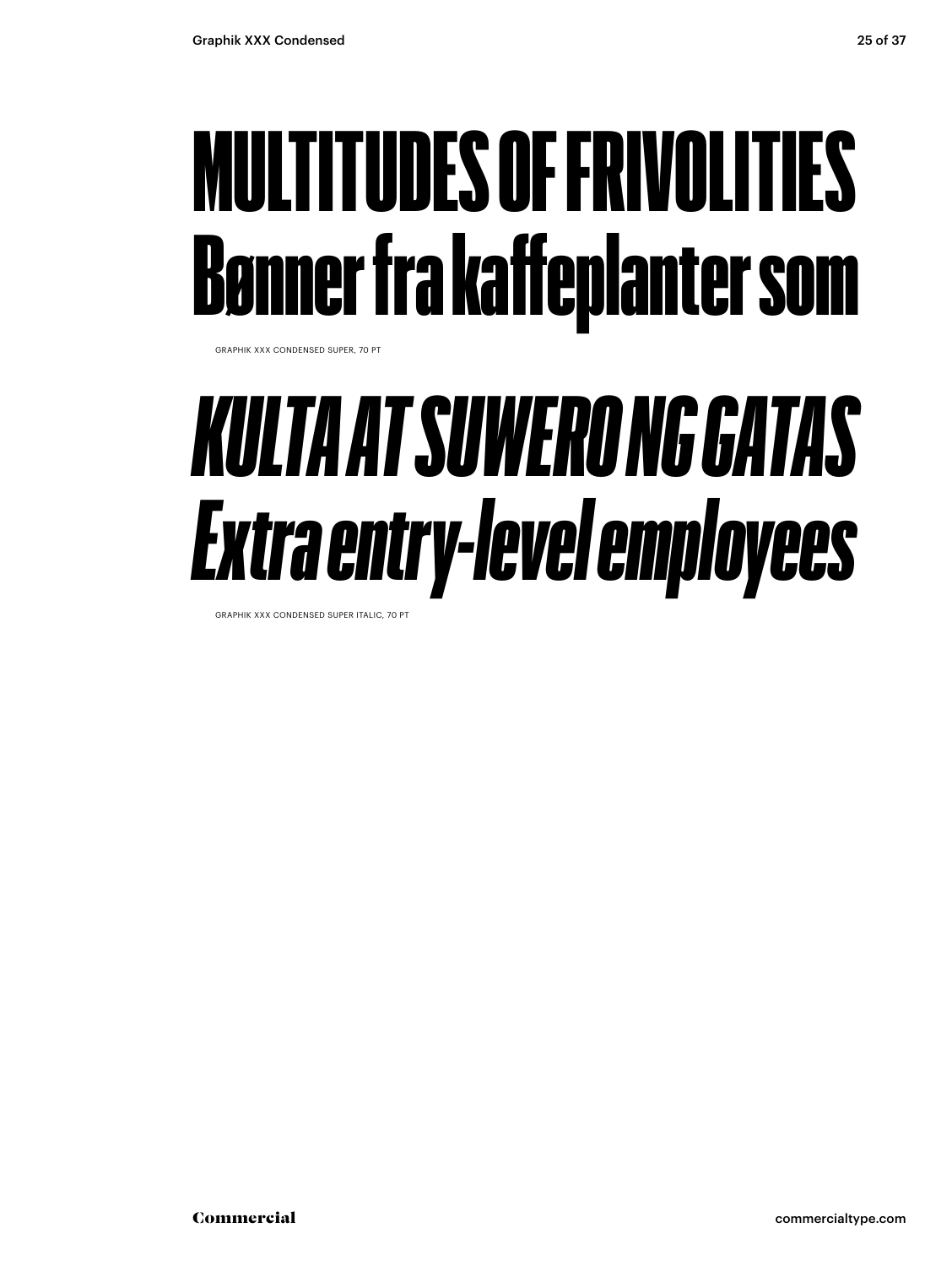### MULTITUDES OF FRIVOLITIES Bønner fra kaffeplanter som

GRAPHIK XXX CONDENSED SUPER, 70 PT

### *KULTA AT SUWERO NG GATAS Extra entry-level employees*

GRAPHIK XXX CONDENSED SUPER ITALIC, 70 PT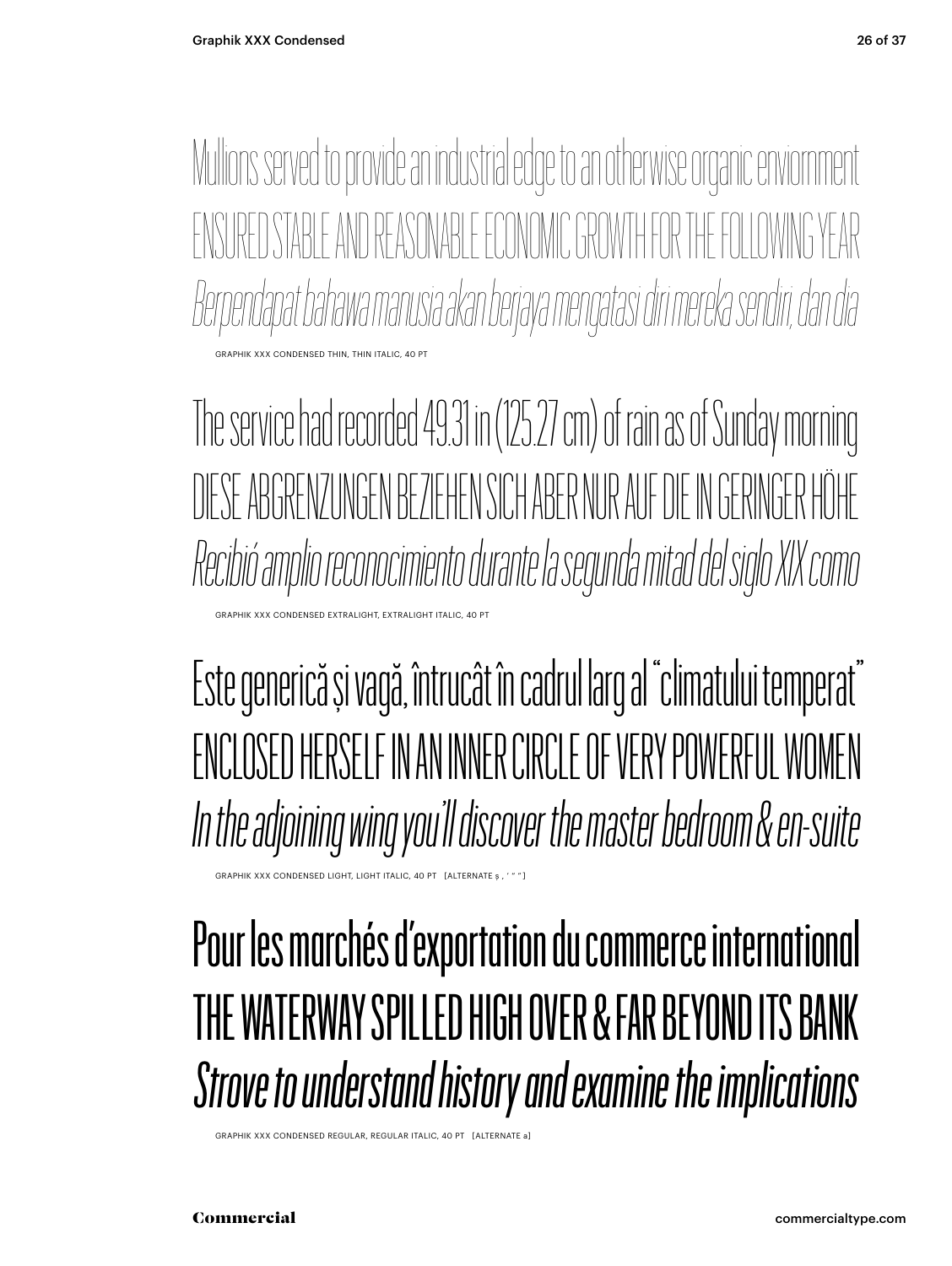Mulions served to provide an industrial edge to an otherwise organic enviornment IRED STABLE AND REASONABLE ECONOMIC GROWTH FOR THE FOLL *Berpendapat bahawa manusia akan berjaya mengatasi diri mereka sendiri, dan dia* GRAPHIK XXX CONDENSED THIN, THIN ITALIC

The service had recorded 49.31 in (125.27 cm) of rain as of Sunday morning DIESE ABGRENZUNGEN BEZIEHEN SICH ABER NUR AUF DIE IN GERINGER HÖHE *Recibió amplio reconocimiento durante la segunda mitad del siglo XIX como* XXX CONDENSED EXTRALIGHT, EXTRALIGHT ITALIC,

Este generică și vagă, întrucât în cadrul larg al "climatului temperat" ENCLOSED HERSELF IN AN INNER CIRCLE OF VERY POWERFUL WOMEN *In the adjoining wing you'll discover the master bedroom & en-suite*

GRAPHIK XXX CONDENSED LIGHT, LIGHT ITALIC, 40 PT [ALTERNATE s , ' " "]

#### Pour les marchés d'exportation du commerce international THE WATERWAY SPILLED HIGH OVER & FAR BEYOND ITS BANK *Strove to understand history and examine the implications*

GRAPHIK XXX CONDENSED REGULAR, REGULAR ITALIC, 40 PT [ALTERNATE a]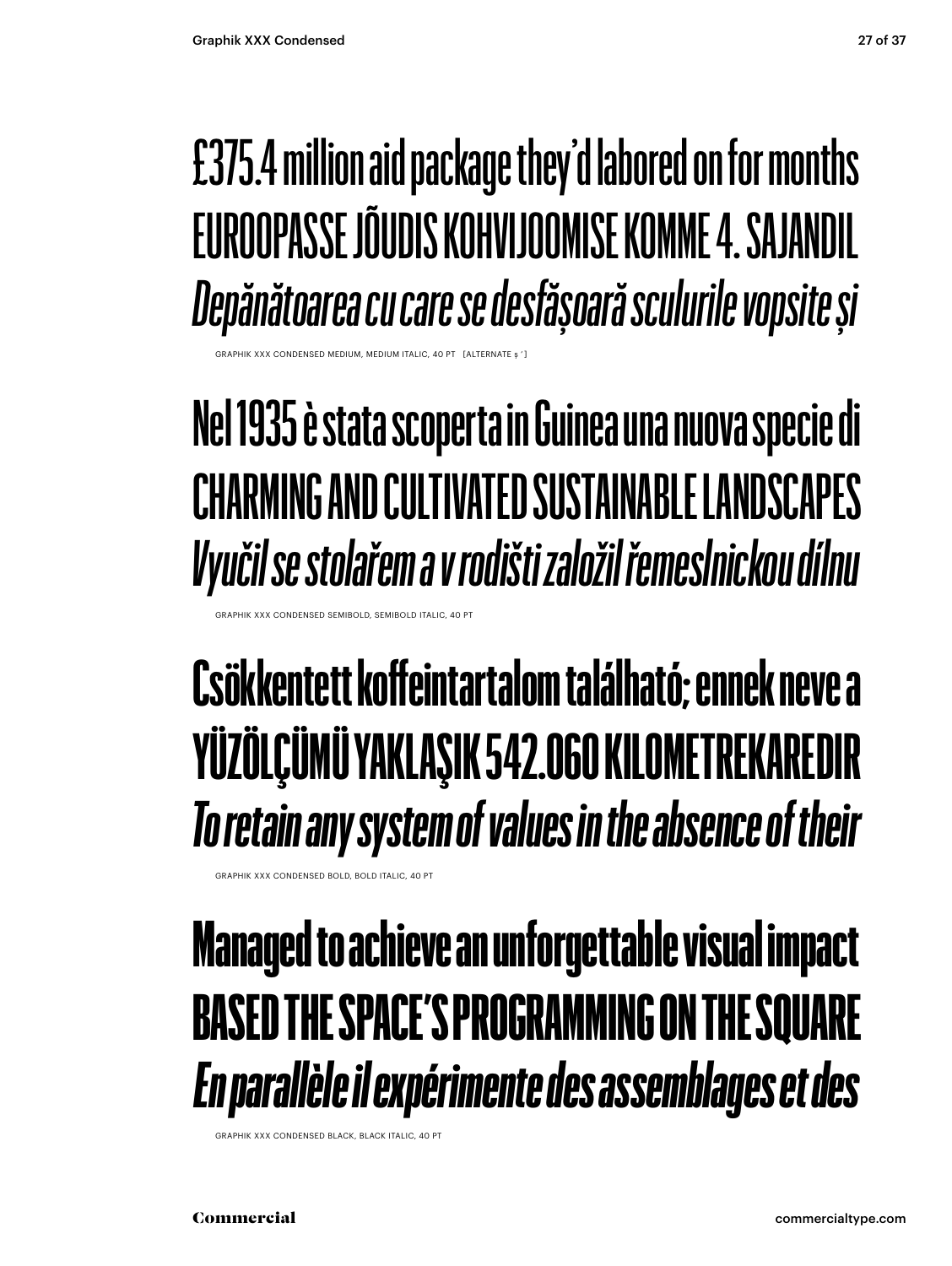#### £375.4 million aid package they'd labored on for months EUROOPASSE JÕUDIS KOHVIJOOMISE KOMME 4. SAJANDIL *Depănătoarea cu care se desfășoară sculurile vopsite și*

PHIK XXX CONDENSED MEDIUM, MEDIUM ITALIC, 40 PT

#### **Nel 1935 è stata scoperta in Guinea una nuova specie di CHARMING AND CULTIVATED SUSTAINABLE LANDSCAPES**  *Vyučil se stolařem a v rodišti založil řemeslnickou dílnu*

HIK XXX CONDENSED SEMIBOLD, SEMIBOLD ITALIC, 40

#### **Csökkentett koffeintartalom található; ennek neve a YÜZÖLÇÜMÜ YAKLAŞIK 542.060 KILOMETREKAREDIR** *To retain any system of values in the absence of their*

GRAPHIK XXX CONDENSED BOLD, BOLD ITALIC, 40 PT

#### Managed to achieve an unforgettable visual impact BASED THE SPACE'S PROGRAMMING ON THE SQUARE *En parallèle il expérimente des assemblages et des*

GRAPHIK XXX CONDENSED BLACK, BLACK ITALIC, 40 PT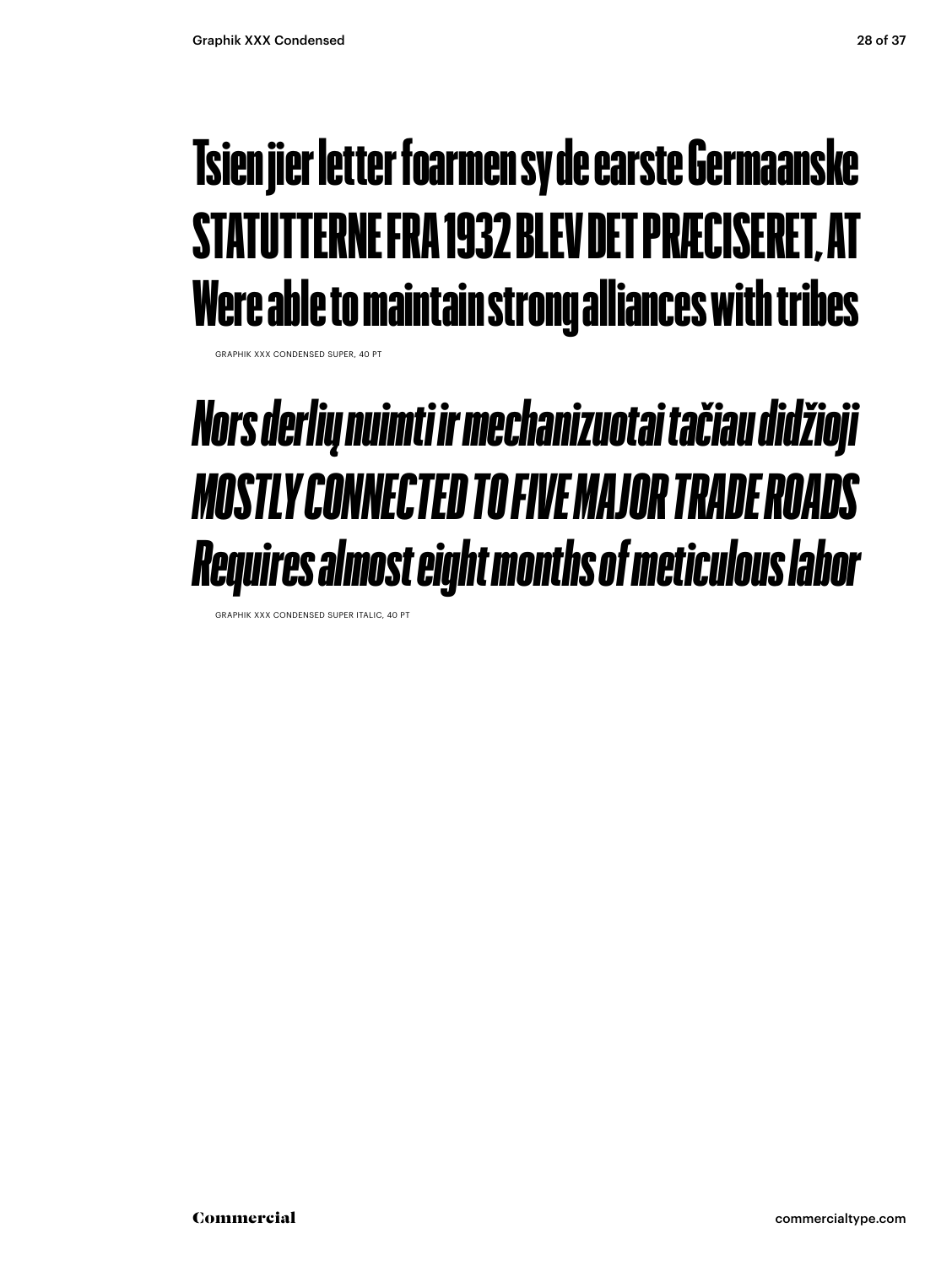#### Tsien jier letter foarmen sy de earste Germaanske STATUTTERNE FRA 1932 BLEV DET PRÆCISERET, AT Were able to maintain strong alliances with tribes

GRAPHIK XXX CONDENSED SUPER, 40 PT

#### *Nors derlių nuimti ir mechanizuotai tačiau didžioji MOSTLY CONNECTED TO FIVE MAJOR TRADE ROADS Requires almost eight months of meticulous labor*

GRAPHIK XXX CONDENSED SUPER ITALIC, 40 PT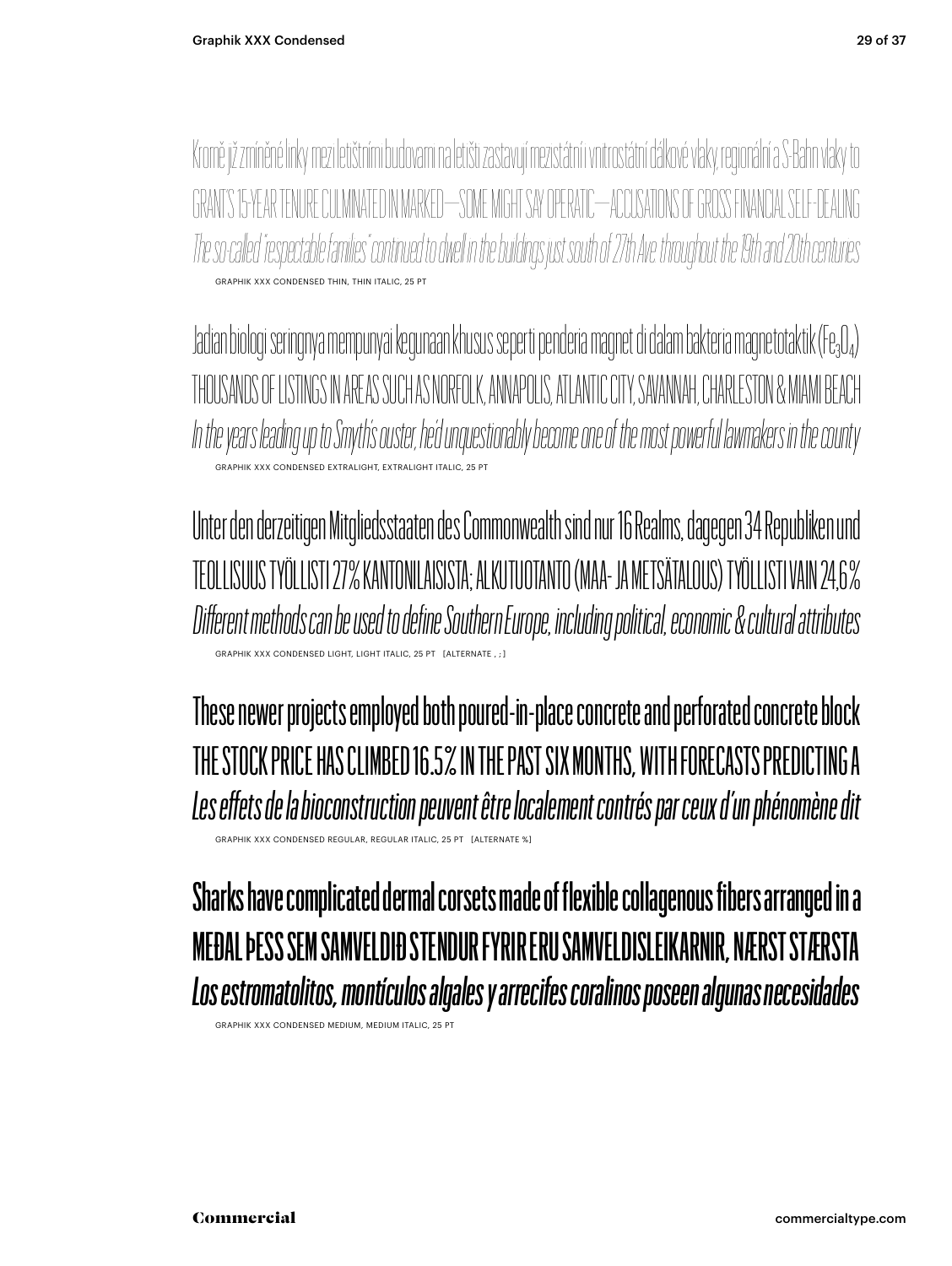Kromě již zmíněné linky mezi letištními budovami na letišti zastavují mezistátní i vnitrostátní dálkové vlaky, regionální a S-Bahn vlaky to "S 15-YEAR TENURE CULMINATED IN MARKED—SOME MIGHT SAY OPERATIC—ACCUSATIONS OF GROSS FINANCIAL *The so-caled "respectable families" continued to dwel in the buildings just south of 27th Ave. throughout the 19th and 20th centuries* GRAPHIK XXX CONDENSED THIN, THIN ITALIC, 25 PT

Jadian biologi seringnya mempunyai kegunaan khusus seperti penderia magnet di dalam bakteria magnetotaktik (Fe<sub>3</sub>O<sub>4</sub>) THOUSANDS OF LISTINGS IN AREAS SUCH AS NORFOLK, ANNAPOLIS, ATLANTIC CITY, SAVANNAH, CHARLESTON & MIAMI BEACH *In the years leading up to Smyth's ouster, he'd unquestionably become one of the most powerful lawmakers in the county* GRAPHIK XXX CONDENSED EXTRALIGHT, EXTRALIGHT ITALIC, 25 PT

Unter den derzeitigen Mitgliedsstaaten des Commonwealth sind nur 16 Realms, dagegen 34 Republiken und TEOLLISUUS TYÖLLISTI 27 % KANTONILAISISTA; ALKUTUOTANTO (MAA- JA METSÄTALOUS) TYÖLLISTI VAIN 24,6 % *Different methods can be used to define Southern Europe, including political, economic & cultural attributes* GRAPHIK XXX CONDENSED LIGHT, LIGHT ITALIC, 25 PT

These newer projects employed both poured-in-place concrete and perforated concrete block THE STOCK PRICE HAS CLIMBED 16.5% IN THE PAST SIX MONTHS, WITH FORECASTS PREDICTING A *Les effets de la bioconstruction peuvent être localement contrés par ceux d'un phénomène dit* GRAPHIK XXX CONDENSED REGULAR, REGULAR ITALIC, 25 PT [ALTERNATE %]

Sharks have complicated dermal corsets made of flexible collagenous fibers arranged in a MEÐAL ÞESS SEM SAMVELDIÐ STENDUR FYRIR ERU SAMVELDISLEIKARNIR, NÆRST STÆRSTA *Los estromatolitos, montículos algales y arrecifes coralinos poseen algunas necesidades*

GRAPHIK XXX CONDENSED MEDIUM, MEDIUM ITALIC, 25 PT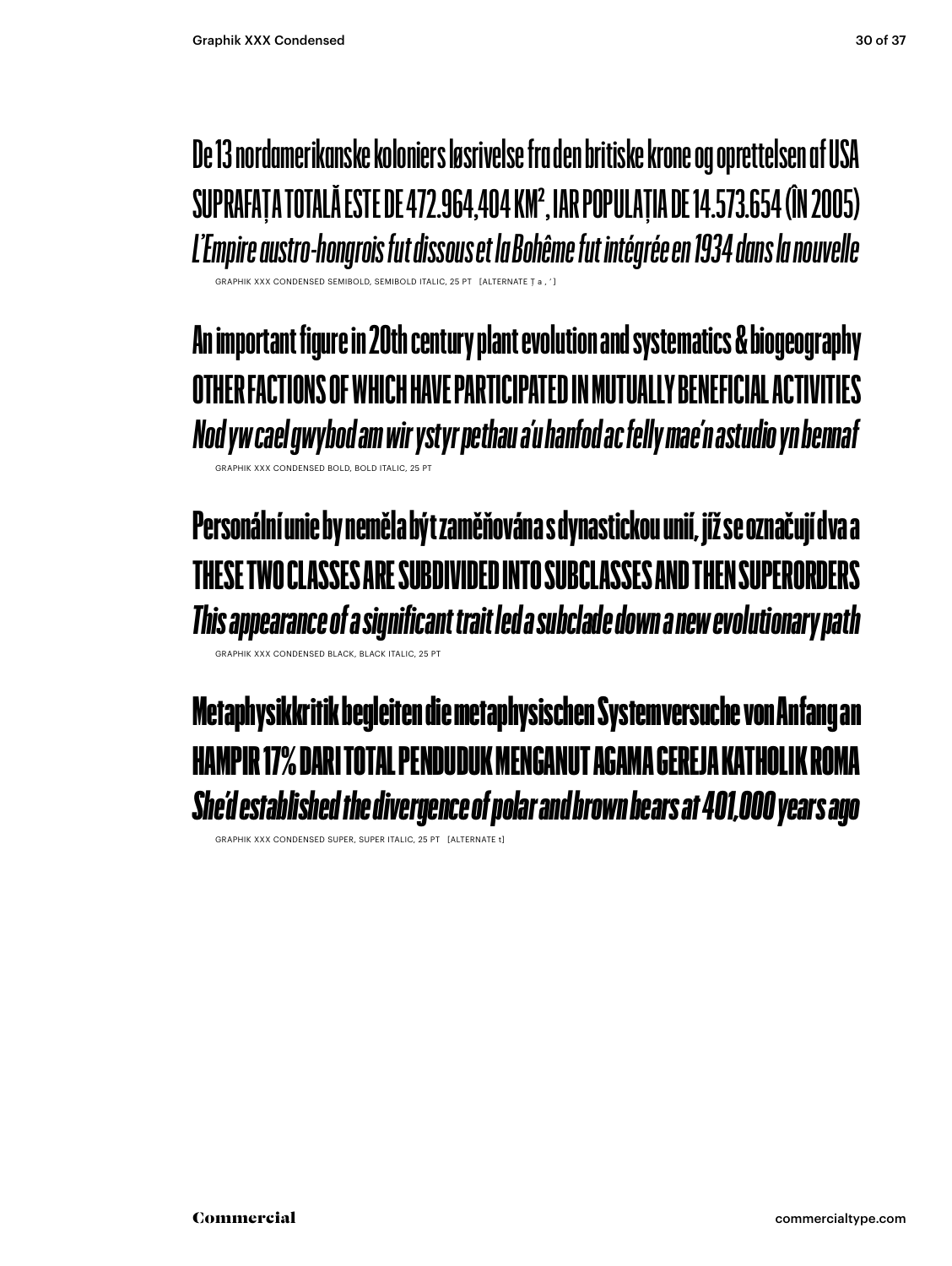**De 13 nordamerikanske koloniers løsrivelse fra den britiske krone og oprettelsen af USA SUPRAFAȚA TOTALĂ ESTE DE 472.964,404 KM2, IAR POPULAȚIA DE 14.573.654 (ÎN 2005)** *L'Empire austro-hongrois fut dissous et la Bohême fut intégrée en 1934 dans la nouvelle*

GRAPHIK XXX CONDENSED SEMIBOLD, SEMIBOLD ITALIC, 25 PT [ALTERNATE Ţ a , ' ]

**An important figure in 20th century plant evolution and systematics & biogeography OTHER FACTIONS OF WHICH HAVE PARTICIPATED IN MUTUALLY BENEFICIAL ACTIVITIES** *Nod yw cael gwybod am wir ystyr pethau a'u hanfod ac felly mae'n astudio yn bennaf* GRAPHIK XXX CONDENSED BOLD, BOLD ITALIC, 25 PT

Personální unie by neměla být zaměňována s dynastickou unií, jíž se označují dva a THESE TWO CLASSES ARE SUBDIVIDED INTO SUBCLASSES AND THEN SUPERORDERS *This appearance of a significant trait led a subclade down a new evolutionary path*

GRAPHIK XXX CONDENSED BLACK, BLACK ITALIC, 25 PT

Metaphysikkritik begleiten die metaphysischen Systemversuche von Anfang an HAMPIR 17% DARI TOTAL PENDIIDIIK MENGANIIT AGAMA GEREJA KAT *She'd established the divergence of polar and brown bears at 401,000 years ago*

GRAPHIK XXX CONDENSED SUPER, SUPER ITALIC, 25 PT [ALTERNATE t]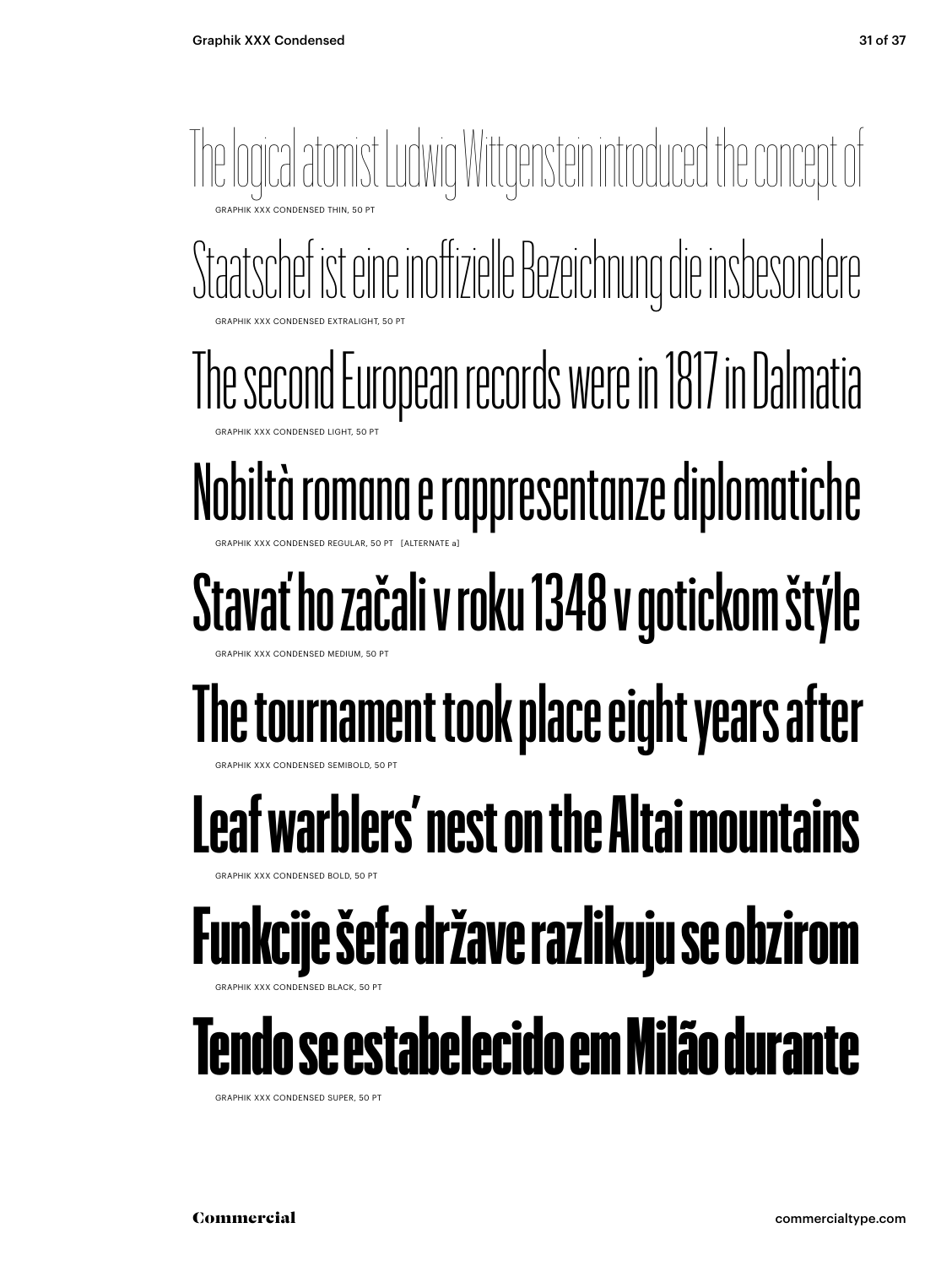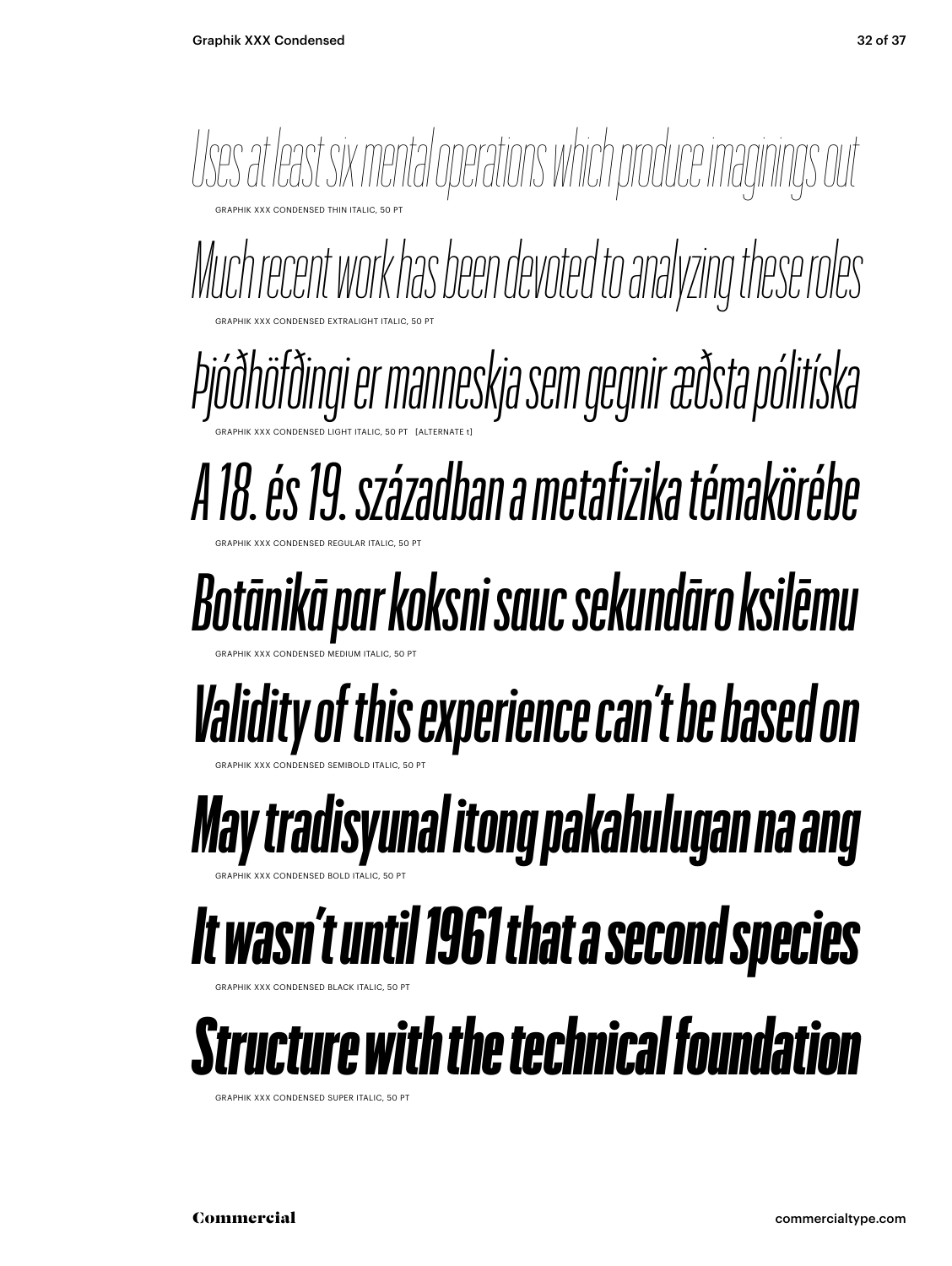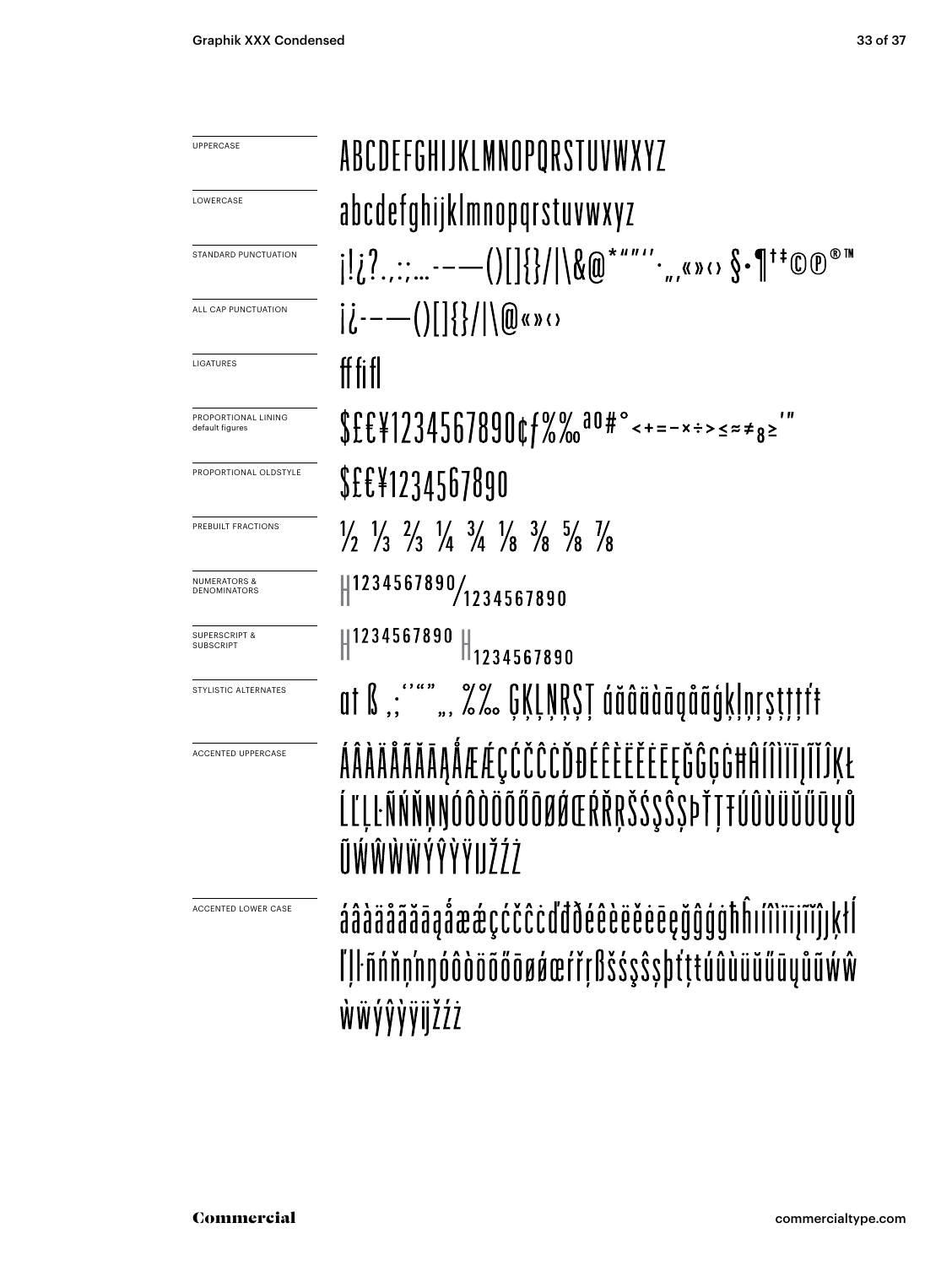| <b>UPPERCASE</b>                               | ABCDEFGHIJKLMNOPORSTUVWXYZ                                                                                                    |
|------------------------------------------------|-------------------------------------------------------------------------------------------------------------------------------|
| LOWERCASE                                      | abcdefghijklmnopqrstuvwxyz                                                                                                    |
| STANDARD PUNCTUATION                           | $[i,2,---()[[] \} /    \& \textcircled{a}$ *""'',,«» $\circ \$ \cdot \P$ <sup>†</sup> *©                                      |
| ALL CAP PUNCTUATION                            | $ \dot{l}$ ----()  {}/ \@«»()                                                                                                 |
| LIGATURES                                      | ff fi fl                                                                                                                      |
| PROPORTIONAL LINING<br>default figures         | $$£E¥1234567890¢f%%$ <sup>00</sup> #° < + = - x ÷ > < = $*$ + s = '                                                           |
| PROPORTIONAL OLDSTYLE                          | <b>SEE¥1234567890</b>                                                                                                         |
| PREBUILT FRACTIONS                             | $\frac{1}{2}$ $\frac{1}{3}$ $\frac{2}{3}$ $\frac{1}{4}$ $\frac{3}{4}$ $\frac{1}{8}$ $\frac{3}{8}$ $\frac{5}{8}$ $\frac{1}{8}$ |
| <b>NUMERATORS &amp;</b><br><b>DENOMINATORS</b> | 1234567890/1234567890                                                                                                         |
| <b>SUPERSCRIPT &amp;</b><br><b>SUBSCRIPT</b>   | 1234567890<br>$\ $ 1234567890                                                                                                 |
| STYLISTIC ALTERNATES                           | at ß "; """ ", %% GĶĻŅŖŞŢ áăâäàāąåãģķļņŗşţţţtŧ                                                                                |
| <b>ACCENTED UPPERCASE</b>                      | ÁÂÀÄÅÃĂĀĀĄÅÆÆÇĆČĈĊĎĐÉÊÈËËĖĒĘĞĜĢĠĦĤÍÎÌĬĪJĨĬĴĶŁ<br>ĹĽĻĿÑŃŇŅŊÓÔÒŎÕŐŌØØŒŔŘŖŠŚŞ\$SÞŤŢŦÚÛÙÜŬŰŪŲŮ<br>ŨŴŴŴŴÝŶŸŸIJŽŹŻ                  |
| ACCENTED LOWER CASE                            | áâàäåããāaåææçćčĉċďđðéêèëĕēeçğĝģġħĥıíîìïījĩĭĵ ķłĺ<br>lllfnnnnndddööööøøerrifdsssssbtttuûuüüüüüww<br>ŴŴýŷŷijžźż                 |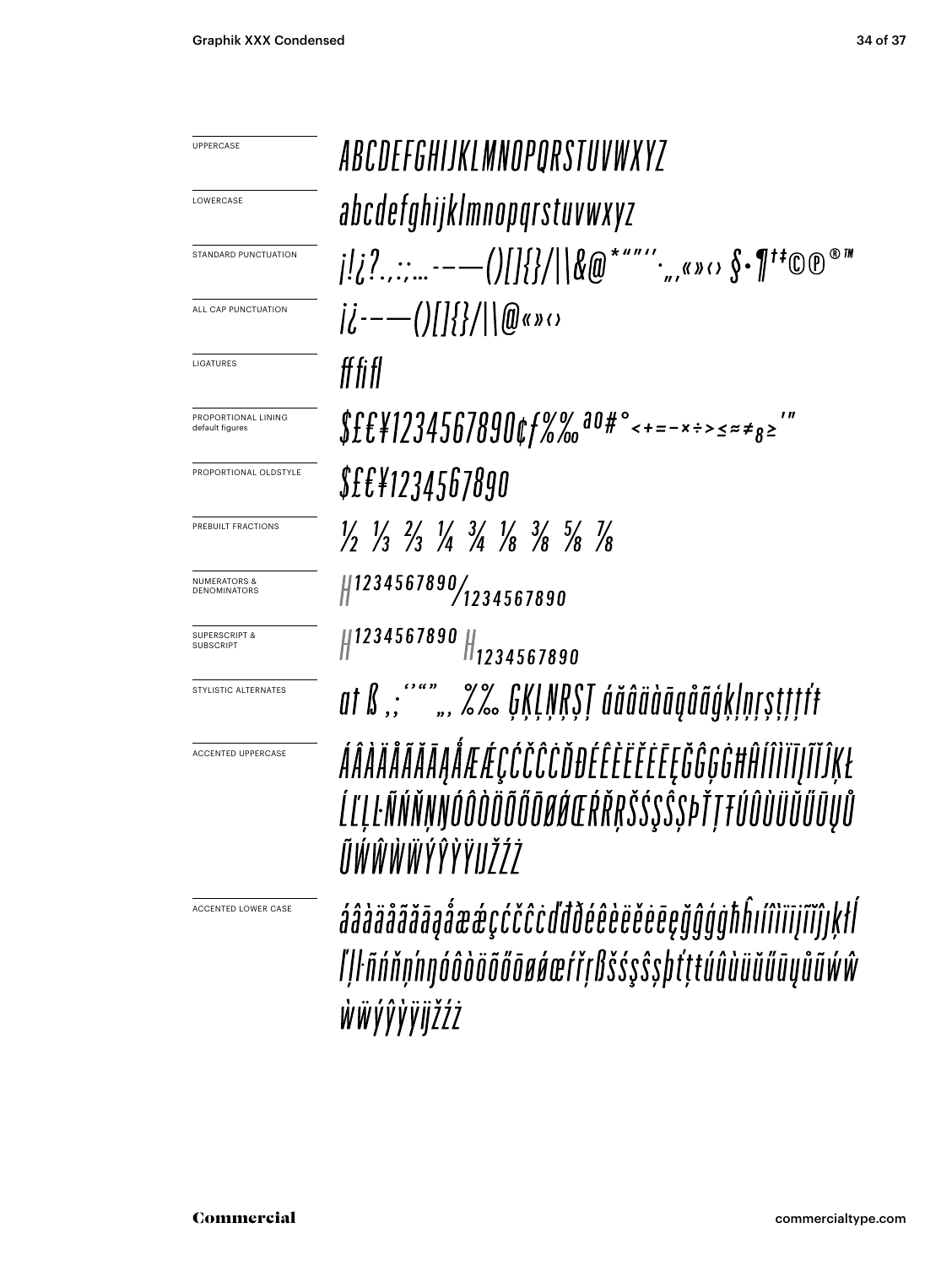ABCDEFGHIJKLMNOPORSTUVWXYZ UPPERCASE **LOWERCASE** abcdefghijklmnopqrstuvwxyz STANDARD PUNCTUATION  $|i^{---}()||\{2\}||\mathbf{0}$ «» $\circ$ ALL CAP PUNCTUATION LIGATURES ff fi fl  $$fff$  / 1234567890¢ f %% a0#° < + = - x ÷ > < =  $*$ PROPORTIONAL LINING default figures PROPORTIONAL OLDSTYLE *S££¥1234567890*  $\frac{1}{2}$   $\frac{1}{3}$   $\frac{2}{3}$   $\frac{1}{4}$   $\frac{3}{4}$   $\frac{1}{8}$   $\frac{3}{8}$   $\frac{5}{8}$   $\frac{7}{8}$ PREBUILT FRACTIONS  $\frac{1}{2}$ 1234567890/1234567890 NUMERATORS & **DENOMINATORS**  $\parallel$ 1234567890  $\parallel$ 1234567890 SUPERSCRIPT & SUBSCRIPT at ß "; """ ", *%%* GĶĻŅŖŞŢ áăâäàāąåãģķļņŗşţţţft STYLISTIC ALTERNATESÁÂÀÄÄÃĂĀĄÅÆÆÇĆČĈĈĎĐÉÊÈËĔĒĘĞĜĢĠĦĤÍÎÌĨĪJĨĬĴĶŁ ACCENTED UPPERCASE ĹĽĻĿÑŃŇŅŊÓÔÒÖÕŐŌØŔŒŔŘŖŠŚŞŜSÞŤŢŦÚÛÙÜŬŰŨŲŮ ĨĬŴŴŴŴÝŶŶŸIJŽŹŻ áâàäåããāaåææçćčĉcďđðéêèëëëeeğĝģġħĥıíîìīijĩĭĵıķłl ACCENTED LOWER CASE ľļŀñńňņ'nŋóôòöõőōøøœŕřŗßšśşŝṣþťţŧúûùüŭűūyůũẃŵ ŴŴ*Ý*ŶŶŸijŽŹŻ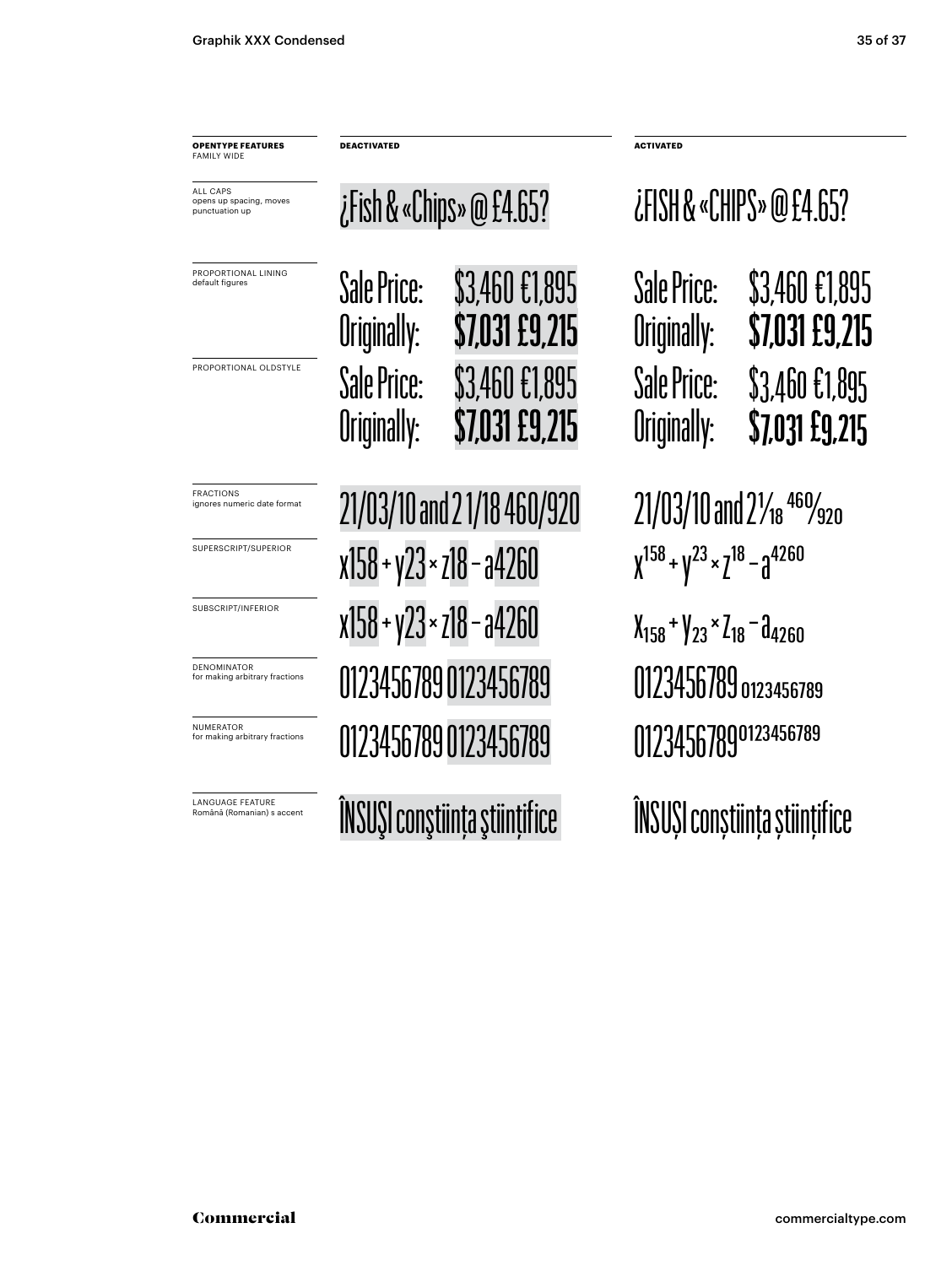PROPORTIONAL LINING default figures ALL CAPS opens up spacing, moves punctuation up **OPENTYPE FEATURES** FAMILY WIDE **DEACTIVATED ACTIVATED** PROPORTIONAL OLDSTYLE Sale Price: \$3,460 €1,895 Originally: **\$7,031 £9,215** ¿Fish & «Chips» @ £4.65? FRACTIONS ignores numeric date format SUPERSCRIPT/SUPERIOR SUBSCRIPT/INFERIOR DENOMINATOR for making arbitrary fractions **LANGUAGE FEATURE**<br>Română (Romanian) s accent Sale Price: \$3,460 €1,895 Originally: **\$7,031 £9,215**  $21/03/10$  and  $21/18$  460/920  $21/03/10$  and  $2\frac{1}{18}$   $^{460}/_{920}$  $x158 + y23 \times z18 - a4260$   $x^{158} + y^{23} \times z^{18} - a^{4260}$  $x158 + y23 \times z18 - a4260$   $x_{158} + y_{23} \times z_{18} - a_{4260}$ 0123456789 0123456789 0123456789 0123456789 0123456789 0123456789 0123456789 0123456789

¿FISH & «CHIPS» @ £4.65?

| Sale Price: | \$3,460 £1,895 |
|-------------|----------------|
| Originally: | \$7,031 £9,215 |
| Sale Price: | \$3,460 £1,895 |
| Originally: | \$7,031 £9,215 |

ÎNSUŞI conştiința ştiințifice ÎNSUȘI conștiința științifice

NUMERATOR for making arbitrary fractions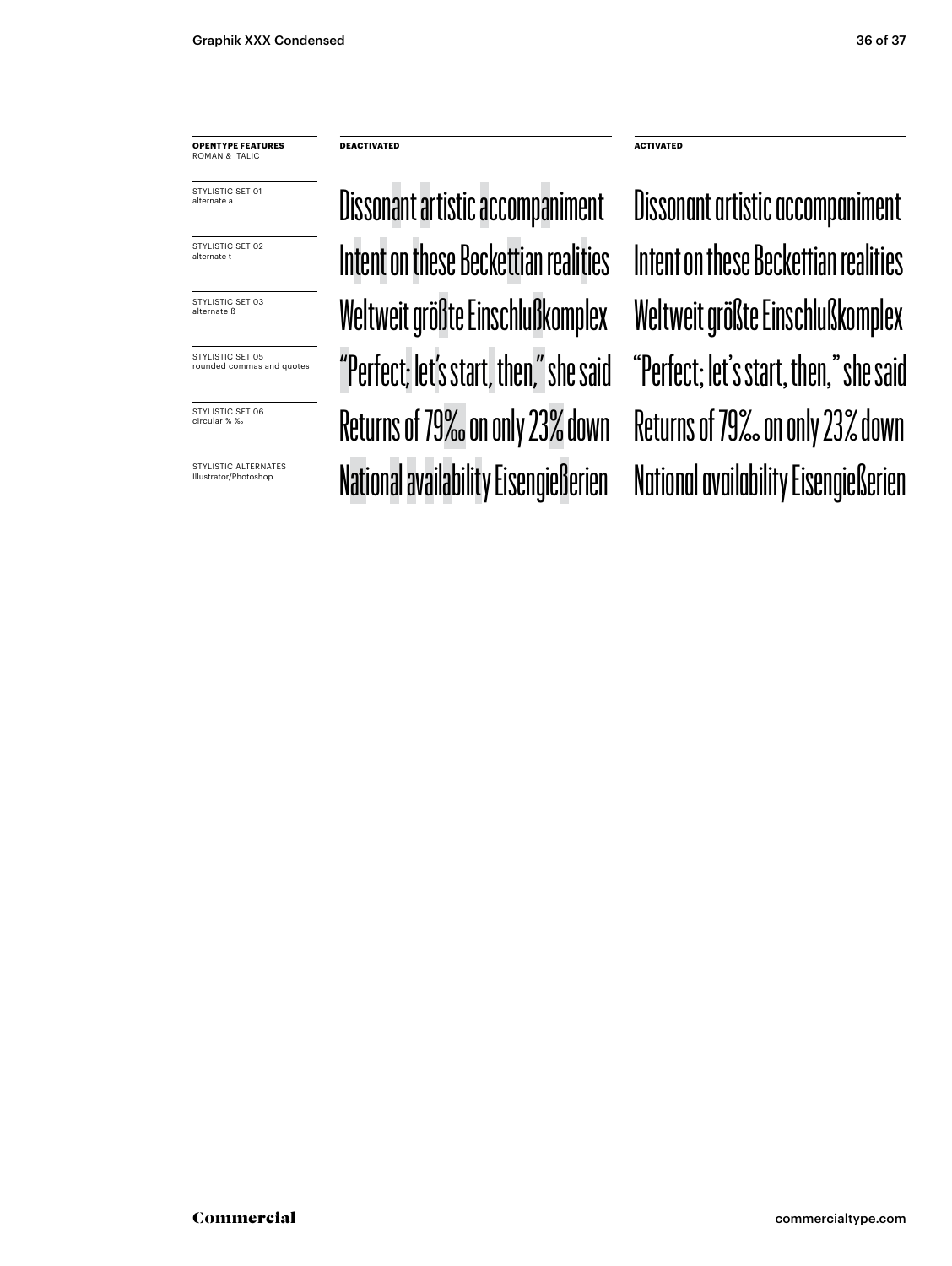**OPENTYPE FEATURES** ROMAN & ITALIC

STYLISTIC SET 01 alternate a

STYLISTIC SET 02 alternate t

STYLISTIC SET 03 alternate ß

STYLISTIC SET 05 rounded commas and quotes

STYLISTIC SET 06 circular % ‰

STYLISTIC ALTERNATES Illustrator/Photoshop

**DEACTIVATED ACTIVATED**

Dissonant artistic accompaniment Intent on these Beckettian realities Weltweit größte Einschlußkomplex Weltweit größte Einschlußkomplex "Perfect; let's start, then," she said "Perfect; let's start, then," she said Returns of 79‰ on only 23% down Returns of 79‰ on only 23% down National availability Eisengießerien National availability Eisengießerien

Intent on these Beckettian realities Dissonant artistic accompaniment